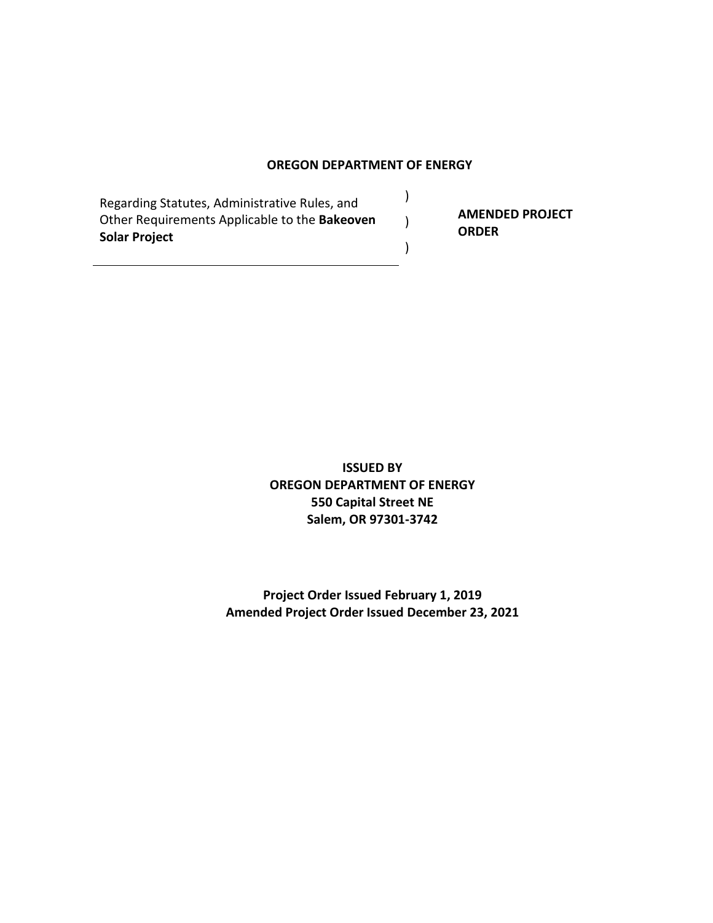#### **OREGON DEPARTMENT OF ENERGY**

)

)

)

Regarding Statutes, Administrative Rules, and Other Requirements Applicable to the **Bakeoven Solar Project**

**AMENDED PROJECT ORDER**

**ISSUED BY OREGON DEPARTMENT OF ENERGY 550 Capital Street NE Salem, OR 97301-3742**

**Project Order Issued February 1, 2019 Amended Project Order Issued December 23, 2021**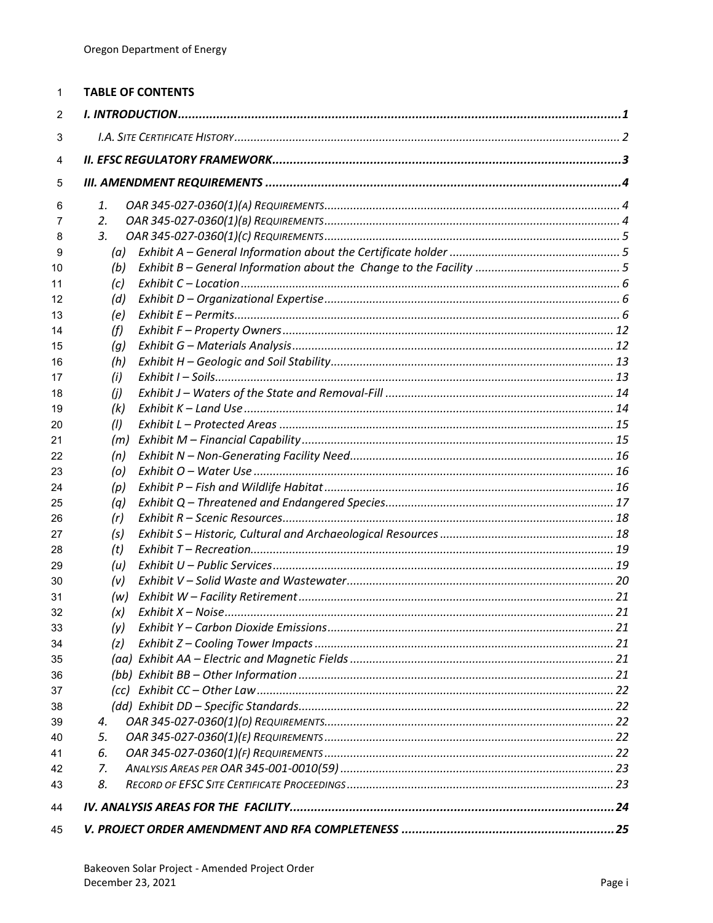| 1        | <b>TABLE OF CONTENTS</b> |  |
|----------|--------------------------|--|
| 2        |                          |  |
| 3        |                          |  |
| 4        |                          |  |
| 5        |                          |  |
| 6        | 1.                       |  |
| 7        | 2.                       |  |
| 8        | 3.                       |  |
| 9        | (a)                      |  |
| 10       | (b)                      |  |
| 11       | (c)                      |  |
| 12       | (d)                      |  |
| 13       | (e)                      |  |
| 14       | (f)                      |  |
| 15       | (g)                      |  |
| 16<br>17 | (h)<br>(i)               |  |
| 18       | (i)                      |  |
| 19       | (k)                      |  |
| 20       | (1)                      |  |
| 21       | (m)                      |  |
| 22       | (n)                      |  |
| 23       | (o)                      |  |
| 24       | (p)                      |  |
| 25       | (q)                      |  |
| 26       | (r)                      |  |
| 27       | (s)                      |  |
| 28       | (t)                      |  |
| 29       | (u)                      |  |
| 30       | (v)                      |  |
| 31       | (w)                      |  |
| 32       | (x)                      |  |
| 33       | (y)                      |  |
| 34<br>35 | (z)                      |  |
| 36       |                          |  |
| 37       |                          |  |
| 38       |                          |  |
| 39       | 4.                       |  |
| 40       | 5.                       |  |
| 41       | 6.                       |  |
| 42       | 7.                       |  |
| 43       | 8.                       |  |
| 44       |                          |  |
| 45       |                          |  |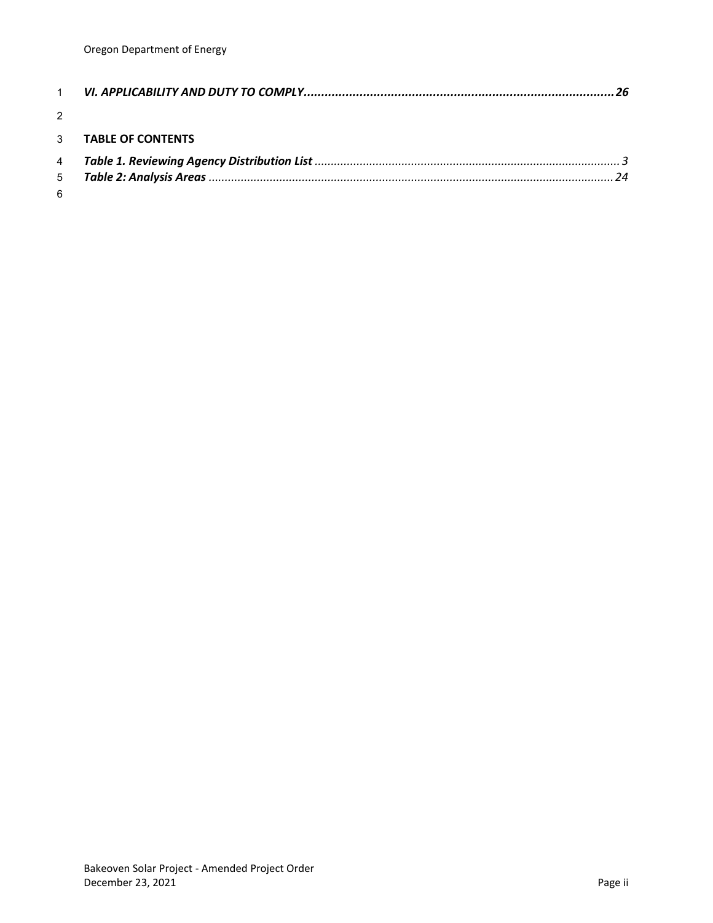| $\mathcal{P}$ |                            |  |
|---------------|----------------------------|--|
|               | 3 <b>TABLE OF CONTENTS</b> |  |
|               |                            |  |
|               |                            |  |
| 6             |                            |  |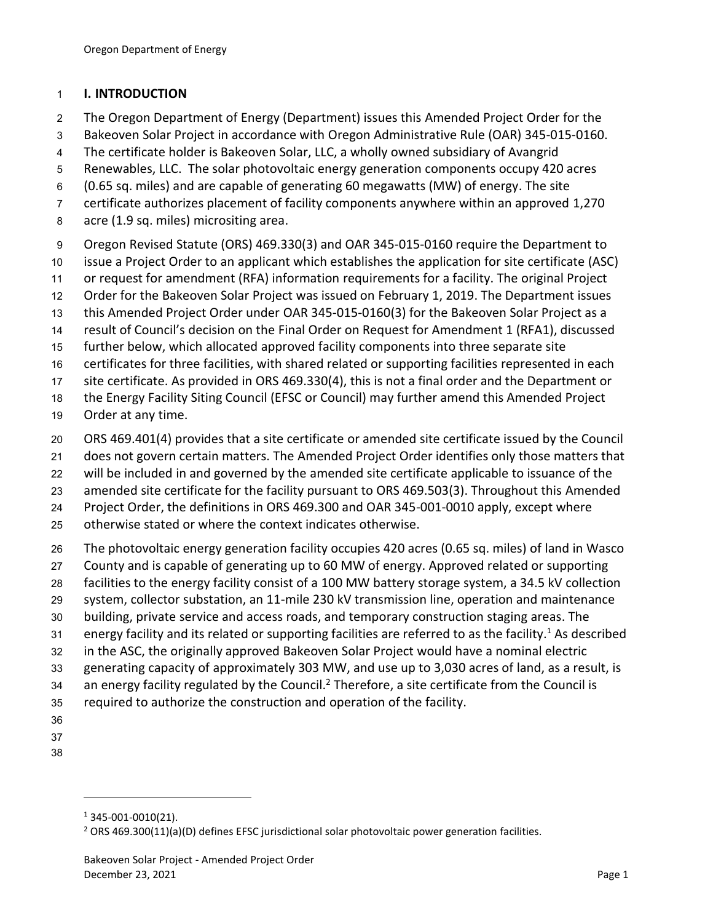#### <span id="page-3-0"></span>**I. INTRODUCTION**

- The Oregon Department of Energy (Department) issues this Amended Project Order for the
- Bakeoven Solar Project in accordance with Oregon Administrative Rule (OAR) 345-015-0160.
- The certificate holder is Bakeoven Solar, LLC, a wholly owned subsidiary of Avangrid
- Renewables, LLC. The solar photovoltaic energy generation components occupy 420 acres
- (0.65 sq. miles) and are capable of generating 60 megawatts (MW) of energy. The site
- certificate authorizes placement of facility components anywhere within an approved 1,270
- acre (1.9 sq. miles) micrositing area.
- Oregon Revised Statute (ORS) 469.330(3) and OAR 345-015-0160 require the Department to
- issue a Project Order to an applicant which establishes the application for site certificate (ASC)
- or request for amendment (RFA) information requirements for a facility. The original Project
- Order for the Bakeoven Solar Project was issued on February 1, 2019. The Department issues
- this Amended Project Order under OAR 345-015-0160(3) for the Bakeoven Solar Project as a
- result of Council's decision on the Final Order on Request for Amendment 1 (RFA1), discussed
- further below, which allocated approved facility components into three separate site
- certificates for three facilities, with shared related or supporting facilities represented in each
- site certificate. As provided in ORS 469.330(4), this is not a final order and the Department or
- the Energy Facility Siting Council (EFSC or Council) may further amend this Amended Project
- Order at any time.
- ORS 469.401(4) provides that a site certificate or amended site certificate issued by the Council
- does not govern certain matters. The Amended Project Order identifies only those matters that
- will be included in and governed by the amended site certificate applicable to issuance of the
- amended site certificate for the facility pursuant to ORS 469.503(3). Throughout this Amended
- Project Order, the definitions in ORS 469.300 and OAR 345-001-0010 apply, except where
- otherwise stated or where the context indicates otherwise.
- The photovoltaic energy generation facility occupies 420 acres (0.65 sq. miles) of land in Wasco
- County and is capable of generating up to 60 MW of energy. Approved related or supporting
- facilities to the energy facility consist of a 100 MW battery storage system, a 34.5 kV collection
- system, collector substation, an 11-mile 230 kV transmission line, operation and maintenance
- building, private service and access roads, and temporary construction staging areas. The
- 31 energy facility and its related or supporting facilities are referred to as the facility.<sup>1</sup> As described
- in the ASC, the originally approved Bakeoven Solar Project would have a nominal electric
- generating capacity of approximately 303 MW, and use up to 3,030 acres of land, as a result, is
- 34 an energy facility regulated by the Council.<sup>2</sup> Therefore, a site certificate from the Council is
- required to authorize the construction and operation of the facility.
- 
- 
- 

345-001-0010(21).

<sup>&</sup>lt;sup>2</sup> ORS 469.300(11)(a)(D) defines EFSC jurisdictional solar photovoltaic power generation facilities.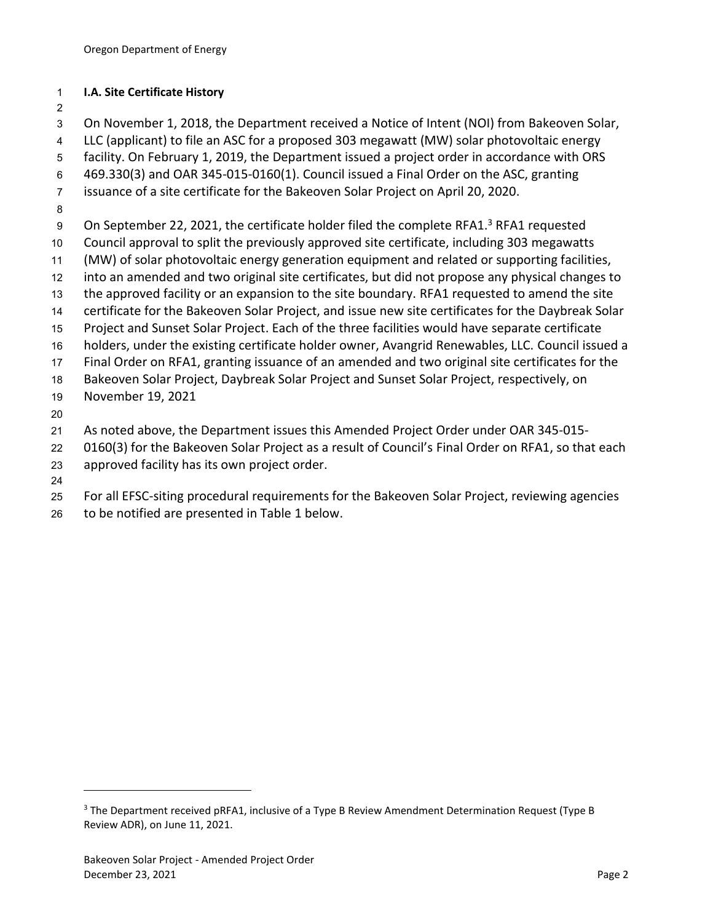#### <span id="page-4-0"></span>**I.A. Site Certificate History**

 On November 1, 2018, the Department received a Notice of Intent (NOI) from Bakeoven Solar, LLC (applicant) to file an ASC for a proposed 303 megawatt (MW) solar photovoltaic energy facility. On February 1, 2019, the Department issued a project order in accordance with ORS 469.330(3) and OAR 345-015-0160(1). Council issued a Final Order on the ASC, granting issuance of a site certificate for the Bakeoven Solar Project on April 20, 2020. 9 On September 22, 2021, the certificate holder filed the complete RFA1.<sup>3</sup> RFA1 requested Council approval to split the previously approved site certificate, including 303 megawatts (MW) of solar photovoltaic energy generation equipment and related or supporting facilities, into an amended and two original site certificates, but did not propose any physical changes to the approved facility or an expansion to the site boundary. RFA1 requested to amend the site certificate for the Bakeoven Solar Project, and issue new site certificates for the Daybreak Solar Project and Sunset Solar Project. Each of the three facilities would have separate certificate holders, under the existing certificate holder owner, Avangrid Renewables, LLC. Council issued a Final Order on RFA1, granting issuance of an amended and two original site certificates for the Bakeoven Solar Project, Daybreak Solar Project and Sunset Solar Project, respectively, on November 19, 2021 As noted above, the Department issues this Amended Project Order under OAR 345-015-

- 0160(3) for the Bakeoven Solar Project as a result of Council's Final Order on RFA1, so that each approved facility has its own project order.
- 
- For all EFSC-siting procedural requirements for the Bakeoven Solar Project, reviewing agencies
- to be notified are presented in Table 1 below.

 The Department received pRFA1, inclusive of a Type B Review Amendment Determination Request (Type B Review ADR), on June 11, 2021.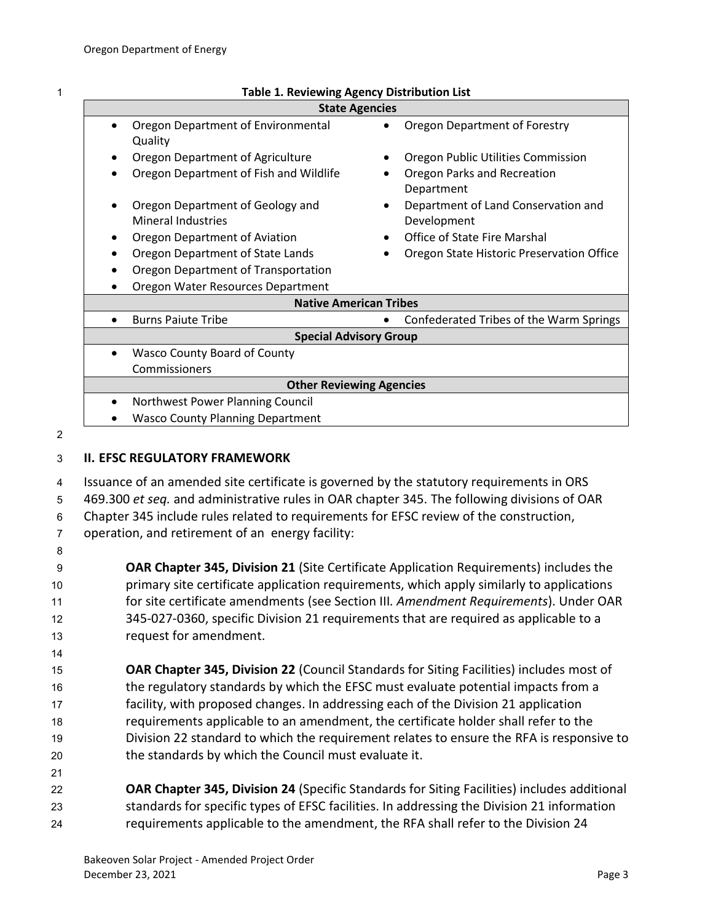| ٠ |
|---|
|   |
|   |
|   |

#### 1 **Table 1. Reviewing Agency Distribution List**

<span id="page-5-1"></span>

| <b>State Agencies</b>                   |                                                        |  |
|-----------------------------------------|--------------------------------------------------------|--|
| Oregon Department of Environmental      | Oregon Department of Forestry                          |  |
| Quality                                 |                                                        |  |
| Oregon Department of Agriculture        | Oregon Public Utilities Commission                     |  |
| Oregon Department of Fish and Wildlife  | Oregon Parks and Recreation<br>$\bullet$<br>Department |  |
| Oregon Department of Geology and        | Department of Land Conservation and<br>$\bullet$       |  |
| <b>Mineral Industries</b>               | Development                                            |  |
| Oregon Department of Aviation           | <b>Office of State Fire Marshal</b><br>$\bullet$       |  |
| Oregon Department of State Lands        | Oregon State Historic Preservation Office              |  |
| Oregon Department of Transportation     |                                                        |  |
| Oregon Water Resources Department       |                                                        |  |
| <b>Native American Tribes</b>           |                                                        |  |
| <b>Burns Paiute Tribe</b>               | Confederated Tribes of the Warm Springs                |  |
| <b>Special Advisory Group</b>           |                                                        |  |
| <b>Wasco County Board of County</b>     |                                                        |  |
| Commissioners                           |                                                        |  |
| <b>Other Reviewing Agencies</b>         |                                                        |  |
| Northwest Power Planning Council        |                                                        |  |
| <b>Wasco County Planning Department</b> |                                                        |  |

2

14

21

### <span id="page-5-0"></span>3 **II. EFSC REGULATORY FRAMEWORK**

 Issuance of an amended site certificate is governed by the statutory requirements in ORS 469.300 *et seq.* and administrative rules in OAR chapter 345. The following divisions of OAR Chapter 345 include rules related to requirements for EFSC review of the construction, operation, and retirement of an energy facility: 8

 **OAR Chapter 345, Division 21** (Site Certificate Application Requirements) includes the primary site certificate application requirements, which apply similarly to applications for site certificate amendments (see Section III*. Amendment Requirements*). Under OAR 345-027-0360, specific Division 21 requirements that are required as applicable to a request for amendment.

 **OAR Chapter 345, Division 22** (Council Standards for Siting Facilities) includes most of the regulatory standards by which the EFSC must evaluate potential impacts from a facility, with proposed changes. In addressing each of the Division 21 application requirements applicable to an amendment, the certificate holder shall refer to the Division 22 standard to which the requirement relates to ensure the RFA is responsive to the standards by which the Council must evaluate it.

22 **OAR Chapter 345, Division 24** (Specific Standards for Siting Facilities) includes additional 23 standards for specific types of EFSC facilities. In addressing the Division 21 information 24 requirements applicable to the amendment, the RFA shall refer to the Division 24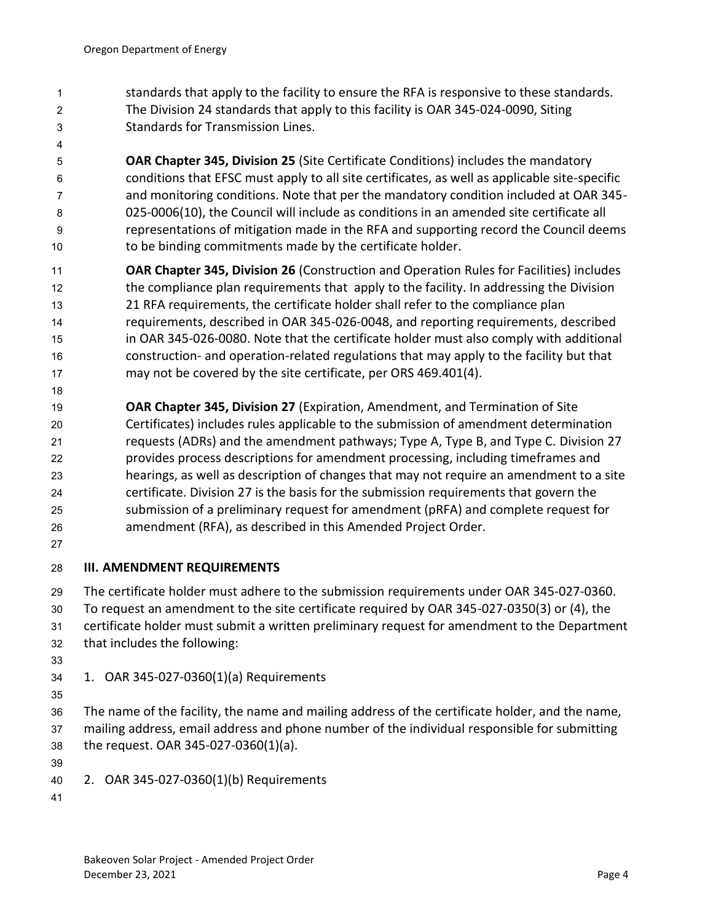- standards that apply to the facility to ensure the RFA is responsive to these standards. The Division 24 standards that apply to this facility is OAR 345-024-0090, Siting Standards for Transmission Lines.
- 

 **OAR Chapter 345, Division 25** (Site Certificate Conditions) includes the mandatory conditions that EFSC must apply to all site certificates, as well as applicable site-specific and monitoring conditions. Note that per the mandatory condition included at OAR 345- 025-0006(10), the Council will include as conditions in an amended site certificate all representations of mitigation made in the RFA and supporting record the Council deems to be binding commitments made by the certificate holder.

- **OAR Chapter 345, Division 26** (Construction and Operation Rules for Facilities) includes 12 the compliance plan requirements that apply to the facility. In addressing the Division 21 RFA requirements, the certificate holder shall refer to the compliance plan requirements, described in OAR 345-026-0048, and reporting requirements, described in OAR 345-026-0080. Note that the certificate holder must also comply with additional construction- and operation-related regulations that may apply to the facility but that may not be covered by the site certificate, per ORS 469.401(4).
- 

 **OAR Chapter 345, Division 27** (Expiration, Amendment, and Termination of Site Certificates) includes rules applicable to the submission of amendment determination requests (ADRs) and the amendment pathways; Type A, Type B, and Type C. Division 27 provides process descriptions for amendment processing, including timeframes and hearings, as well as description of changes that may not require an amendment to a site certificate. Division 27 is the basis for the submission requirements that govern the submission of a preliminary request for amendment (pRFA) and complete request for amendment (RFA), as described in this Amended Project Order.

### <span id="page-6-0"></span>**III. AMENDMENT REQUIREMENTS**

The certificate holder must adhere to the submission requirements under OAR 345-027-0360.

- To request an amendment to the site certificate required by OAR 345-027-0350(3) or (4), the
- certificate holder must submit a written preliminary request for amendment to the Department
- that includes the following:
- 
- <span id="page-6-1"></span>1. OAR 345-027-0360(1)(a) Requirements
- 

 The name of the facility, the name and mailing address of the certificate holder, and the name, mailing address, email address and phone number of the individual responsible for submitting the request. OAR 345-027-0360(1)(a).

- 
- <span id="page-6-2"></span>2. OAR 345-027-0360(1)(b) Requirements
-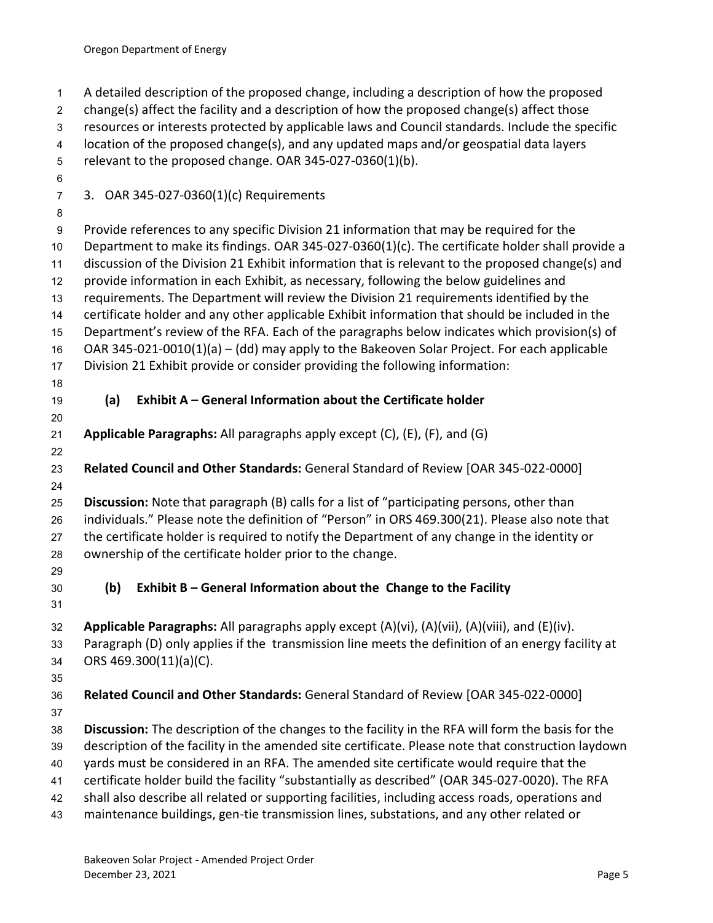<span id="page-7-2"></span><span id="page-7-1"></span><span id="page-7-0"></span> A detailed description of the proposed change, including a description of how the proposed change(s) affect the facility and a description of how the proposed change(s) affect those resources or interests protected by applicable laws and Council standards. Include the specific location of the proposed change(s), and any updated maps and/or geospatial data layers relevant to the proposed change. OAR 345-027-0360(1)(b). 3. OAR 345-027-0360(1)(c) Requirements Provide references to any specific Division 21 information that may be required for the Department to make its findings. OAR 345-027-0360(1)(c). The certificate holder shall provide a discussion of the Division 21 Exhibit information that is relevant to the proposed change(s) and provide information in each Exhibit, as necessary, following the below guidelines and requirements. The Department will review the Division 21 requirements identified by the certificate holder and any other applicable Exhibit information that should be included in the Department's review of the RFA. Each of the paragraphs below indicates which provision(s) of OAR 345-021-0010(1)(a) – (dd) may apply to the Bakeoven Solar Project. For each applicable Division 21 Exhibit provide or consider providing the following information: **(a) Exhibit A – General Information about the Certificate holder Applicable Paragraphs:** All paragraphs apply except (C), (E), (F), and (G) **Related Council and Other Standards:** General Standard of Review [OAR 345-022-0000] **Discussion:** Note that paragraph (B) calls for a list of "participating persons, other than individuals." Please note the definition of "Person" in ORS 469.300(21). Please also note that the certificate holder is required to notify the Department of any change in the identity or ownership of the certificate holder prior to the change. **(b) Exhibit B – General Information about the Change to the Facility Applicable Paragraphs:** All paragraphs apply except (A)(vi), (A)(vii), (A)(viii), and (E)(iv). Paragraph (D) only applies if the transmission line meets the definition of an energy facility at ORS 469.300(11)(a)(C). **Related Council and Other Standards:** General Standard of Review [OAR 345-022-0000] **Discussion:** The description of the changes to the facility in the RFA will form the basis for the description of the facility in the amended site certificate. Please note that construction laydown yards must be considered in an RFA. The amended site certificate would require that the certificate holder build the facility "substantially as described" (OAR 345-027-0020). The RFA shall also describe all related or supporting facilities, including access roads, operations and maintenance buildings, gen-tie transmission lines, substations, and any other related or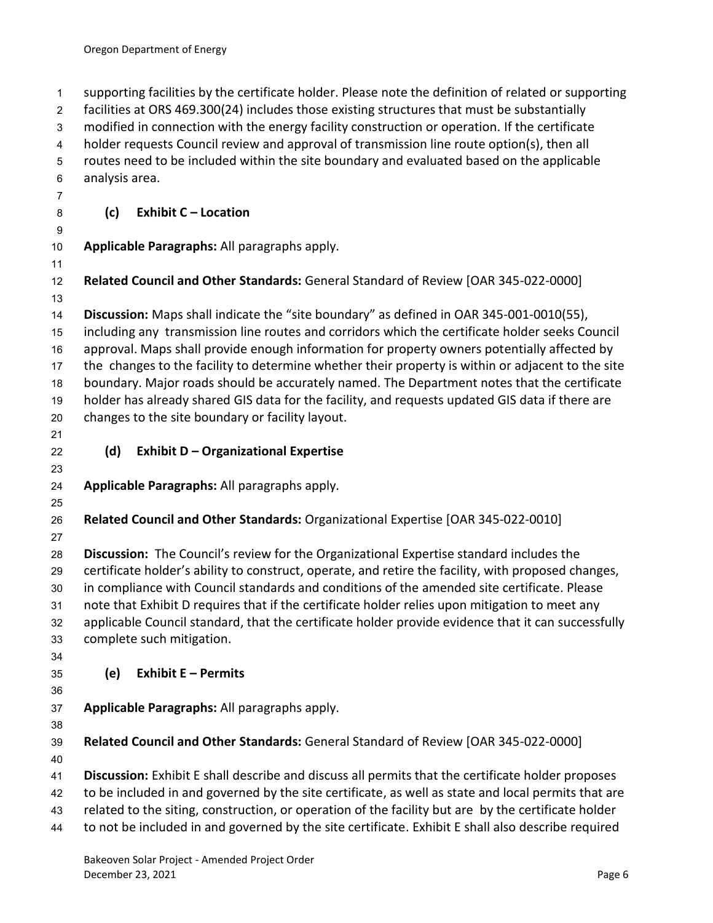<span id="page-8-2"></span><span id="page-8-1"></span><span id="page-8-0"></span> supporting facilities by the certificate holder. Please note the definition of related or supporting facilities at ORS 469.300(24) includes those existing structures that must be substantially modified in connection with the energy facility construction or operation. If the certificate holder requests Council review and approval of transmission line route option(s), then all routes need to be included within the site boundary and evaluated based on the applicable analysis area. **(c) Exhibit C – Location Applicable Paragraphs:** All paragraphs apply. **Related Council and Other Standards:** General Standard of Review [OAR 345-022-0000] **Discussion:** Maps shall indicate the "site boundary" as defined in OAR 345-001-0010(55), including any transmission line routes and corridors which the certificate holder seeks Council approval. Maps shall provide enough information for property owners potentially affected by the changes to the facility to determine whether their property is within or adjacent to the site boundary. Major roads should be accurately named. The Department notes that the certificate holder has already shared GIS data for the facility, and requests updated GIS data if there are changes to the site boundary or facility layout. **(d) Exhibit D – Organizational Expertise Applicable Paragraphs:** All paragraphs apply. **Related Council and Other Standards:** Organizational Expertise [OAR 345-022-0010] **Discussion:** The Council's review for the Organizational Expertise standard includes the certificate holder's ability to construct, operate, and retire the facility, with proposed changes, in compliance with Council standards and conditions of the amended site certificate. Please note that Exhibit D requires that if the certificate holder relies upon mitigation to meet any applicable Council standard, that the certificate holder provide evidence that it can successfully complete such mitigation. **(e) Exhibit E – Permits Applicable Paragraphs:** All paragraphs apply. **Related Council and Other Standards:** General Standard of Review [OAR 345-022-0000] **Discussion:** Exhibit E shall describe and discuss all permits that the certificate holder proposes to be included in and governed by the site certificate, as well as state and local permits that are related to the siting, construction, or operation of the facility but are by the certificate holder to not be included in and governed by the site certificate. Exhibit E shall also describe required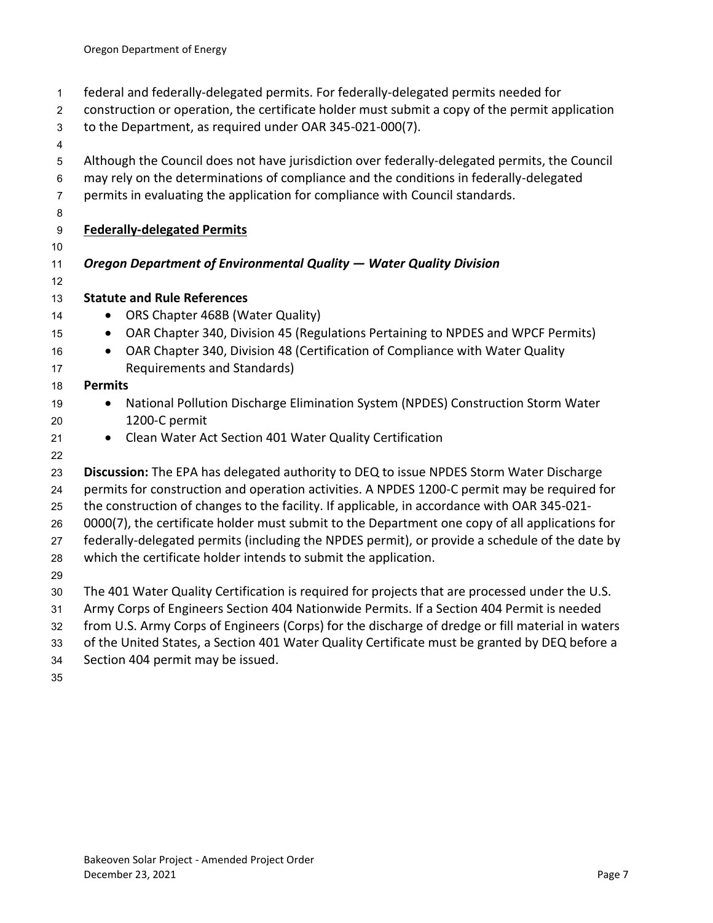- federal and federally-delegated permits. For federally-delegated permits needed for
- construction or operation, the certificate holder must submit a copy of the permit application
- to the Department, as required under OAR 345-021-000(7).
- 
- Although the Council does not have jurisdiction over federally-delegated permits, the Council
- may rely on the determinations of compliance and the conditions in federally-delegated
- permits in evaluating the application for compliance with Council standards.
- 
- **Federally-delegated Permits**
- 

## *Oregon Department of Environmental Quality — Water Quality Division*

- **Statute and Rule References**
- 14 ORS Chapter 468B (Water Quality)
- OAR Chapter 340, Division 45 (Regulations Pertaining to NPDES and WPCF Permits)
- OAR Chapter 340, Division 48 (Certification of Compliance with Water Quality Requirements and Standards)

#### **Permits**

- 19 National Pollution Discharge Elimination System (NPDES) Construction Storm Water 1200-C permit
- Clean Water Act Section 401 Water Quality Certification
- 

**Discussion:** The EPA has delegated authority to DEQ to issue NPDES Storm Water Discharge

permits for construction and operation activities. A NPDES 1200-C permit may be required for

the construction of changes to the facility. If applicable, in accordance with OAR 345-021-

0000(7), the certificate holder must submit to the Department one copy of all applications for

federally-delegated permits (including the NPDES permit), or provide a schedule of the date by

which the certificate holder intends to submit the application.

The 401 Water Quality Certification is required for projects that are processed under the U.S.

- Army Corps of Engineers Section 404 Nationwide Permits. If a Section 404 Permit is needed
- from U.S. Army Corps of Engineers (Corps) for the discharge of dredge or fill material in waters
- of the United States, a Section 401 Water Quality Certificate must be granted by DEQ before a
- Section 404 permit may be issued.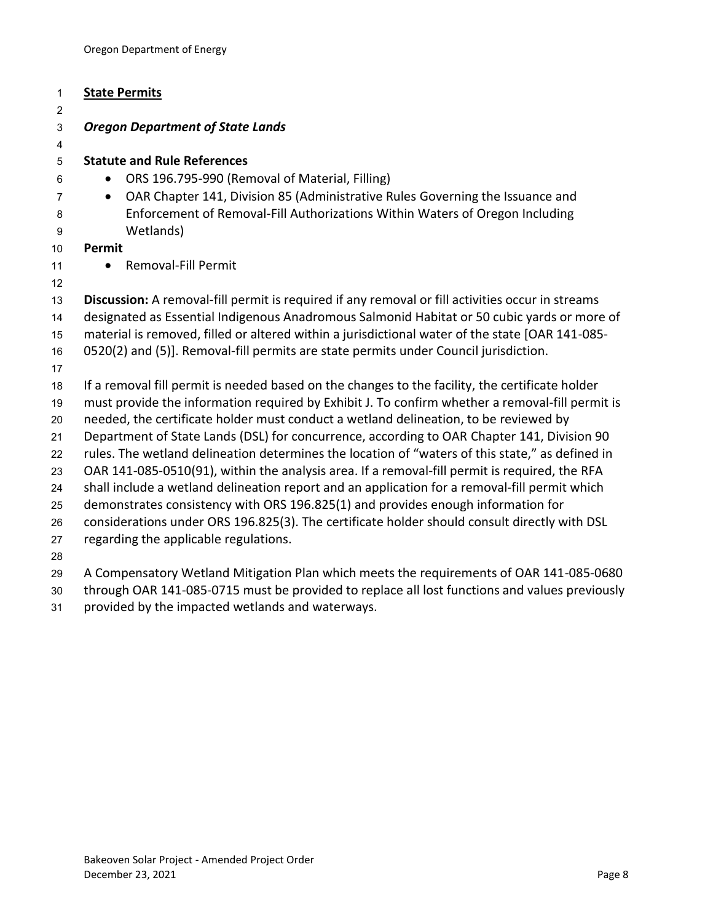| 1              | <b>State Permits</b>                                                                             |
|----------------|--------------------------------------------------------------------------------------------------|
| $\overline{2}$ |                                                                                                  |
| 3              | <b>Oregon Department of State Lands</b>                                                          |
| 4              |                                                                                                  |
| 5              | <b>Statute and Rule References</b>                                                               |
| 6              | ORS 196.795-990 (Removal of Material, Filling)<br>$\bullet$                                      |
| $\overline{7}$ | OAR Chapter 141, Division 85 (Administrative Rules Governing the Issuance and<br>$\bullet$       |
| 8<br>9         | Enforcement of Removal-Fill Authorizations Within Waters of Oregon Including<br>Wetlands)        |
| 10             | Permit                                                                                           |
| 11             | <b>Removal-Fill Permit</b><br>$\bullet$                                                          |
| 12             |                                                                                                  |
| 13             | Discussion: A removal-fill permit is required if any removal or fill activities occur in streams |
| 14             | designated as Essential Indigenous Anadromous Salmonid Habitat or 50 cubic yards or more of      |
| 15             | material is removed, filled or altered within a jurisdictional water of the state [OAR 141-085-  |
| 16             | 0520(2) and (5)]. Removal-fill permits are state permits under Council jurisdiction.             |
| 17             |                                                                                                  |
| 18             | If a removal fill permit is needed based on the changes to the facility, the certificate holder  |
| 19             | must provide the information required by Exhibit J. To confirm whether a removal-fill permit is  |
| 20             | needed, the certificate holder must conduct a wetland delineation, to be reviewed by             |
| 21             | Department of State Lands (DSL) for concurrence, according to OAR Chapter 141, Division 90       |
| 22             | rules. The wetland delineation determines the location of "waters of this state," as defined in  |
| 23             | OAR 141-085-0510(91), within the analysis area. If a removal-fill permit is required, the RFA    |
| 24             | shall include a wetland delineation report and an application for a removal-fill permit which    |
| 25             | demonstrates consistency with ORS 196.825(1) and provides enough information for                 |
| 26             | considerations under ORS 196.825(3). The certificate holder should consult directly with DSL     |
| 27             | regarding the applicable regulations.                                                            |
| 28             |                                                                                                  |
| 29             | A Compensatory Wetland Mitigation Plan which meets the requirements of OAR 141-085-0680          |

- through OAR 141-085-0715 must be provided to replace all lost functions and values previously
- provided by the impacted wetlands and waterways.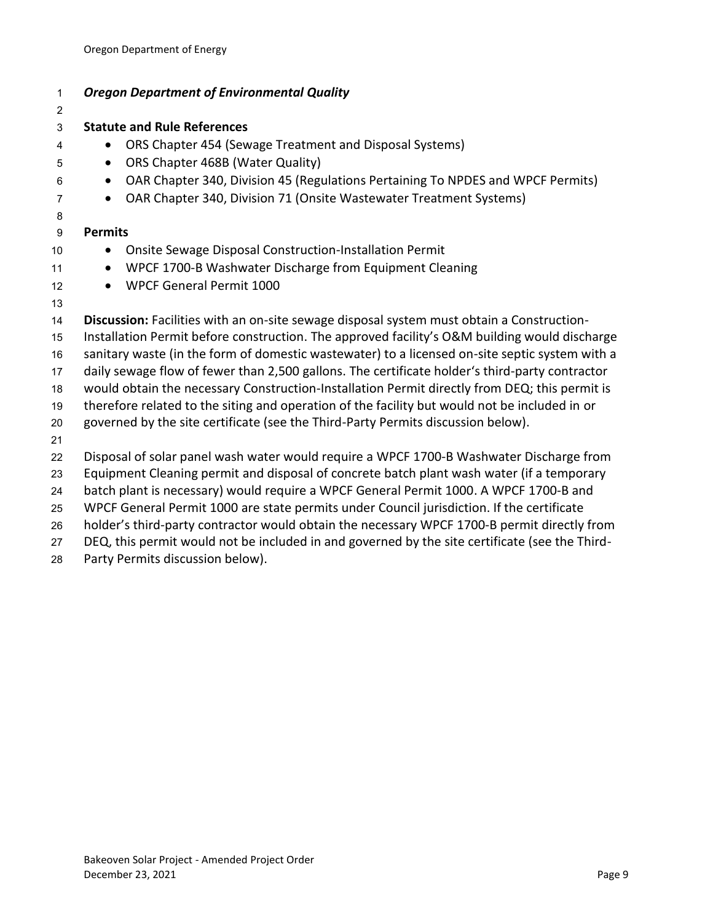| 1              | <b>Oregon Department of Environmental Quality</b>                                              |
|----------------|------------------------------------------------------------------------------------------------|
| $\overline{c}$ |                                                                                                |
| 3              | <b>Statute and Rule References</b>                                                             |
| 4              | ORS Chapter 454 (Sewage Treatment and Disposal Systems)                                        |
| 5              | ORS Chapter 468B (Water Quality)<br>$\bullet$                                                  |
| 6              | OAR Chapter 340, Division 45 (Regulations Pertaining To NPDES and WPCF Permits)<br>$\bullet$   |
| $\overline{7}$ | OAR Chapter 340, Division 71 (Onsite Wastewater Treatment Systems)<br>$\bullet$                |
| 8              |                                                                                                |
| 9              | <b>Permits</b>                                                                                 |
| 10             | Onsite Sewage Disposal Construction-Installation Permit                                        |
| 11             | WPCF 1700-B Washwater Discharge from Equipment Cleaning<br>$\bullet$                           |
| 12             | <b>WPCF General Permit 1000</b><br>$\bullet$                                                   |
| 13             |                                                                                                |
| 14             | Discussion: Facilities with an on-site sewage disposal system must obtain a Construction-      |
| 15             | Installation Permit before construction. The approved facility's O&M building would discharge  |
| 16             | sanitary waste (in the form of domestic wastewater) to a licensed on-site septic system with a |
| 17             | daily sewage flow of fewer than 2,500 gallons. The certificate holder's third-party contractor |
| 18             | would obtain the necessary Construction-Installation Permit directly from DEQ; this permit is  |
| 19             | therefore related to the siting and operation of the facility but would not be included in or  |
| 20             | governed by the site certificate (see the Third-Party Permits discussion below).               |
| 21             |                                                                                                |
| 22             | Disposal of solar panel wash water would require a WPCF 1700-B Washwater Discharge from        |
| 23             | Equipment Cleaning permit and disposal of concrete batch plant wash water (if a temporary      |
| 24             | batch plant is necessary) would require a WPCF General Permit 1000. A WPCF 1700-B and          |
| 25             | WPCF General Permit 1000 are state permits under Council jurisdiction. If the certificate      |
| 26             | holder's third-party contractor would obtain the necessary WPCF 1700-B permit directly from    |
| 27             | DEQ, this permit would not be included in and governed by the site certificate (see the Third- |

Party Permits discussion below).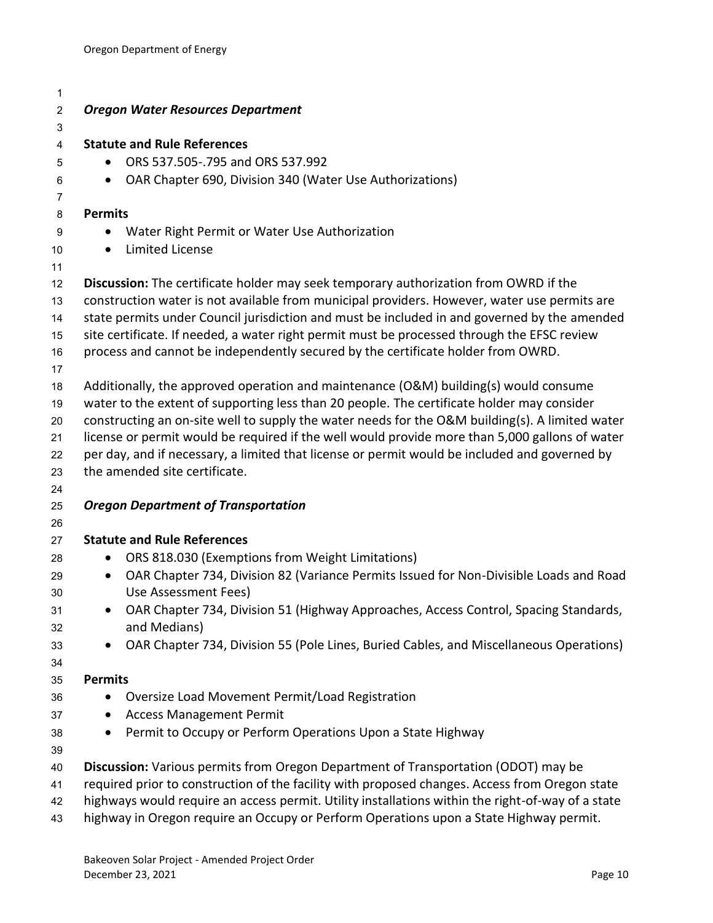| 1              |                                                                                                                                                                                    |
|----------------|------------------------------------------------------------------------------------------------------------------------------------------------------------------------------------|
| $\overline{c}$ | <b>Oregon Water Resources Department</b>                                                                                                                                           |
| 3              |                                                                                                                                                                                    |
| 4              | <b>Statute and Rule References</b>                                                                                                                                                 |
| 5              | ORS 537.505-.795 and ORS 537.992                                                                                                                                                   |
| 6              | OAR Chapter 690, Division 340 (Water Use Authorizations)<br>$\bullet$                                                                                                              |
| $\overline{7}$ |                                                                                                                                                                                    |
| 8              | <b>Permits</b>                                                                                                                                                                     |
| 9              | Water Right Permit or Water Use Authorization                                                                                                                                      |
| 10             | <b>Limited License</b><br>$\bullet$                                                                                                                                                |
| 11             |                                                                                                                                                                                    |
| 12             | Discussion: The certificate holder may seek temporary authorization from OWRD if the                                                                                               |
| 13             | construction water is not available from municipal providers. However, water use permits are                                                                                       |
| 14             | state permits under Council jurisdiction and must be included in and governed by the amended                                                                                       |
| 15             | site certificate. If needed, a water right permit must be processed through the EFSC review                                                                                        |
| 16             | process and cannot be independently secured by the certificate holder from OWRD.                                                                                                   |
| 17             |                                                                                                                                                                                    |
| 18             | Additionally, the approved operation and maintenance (O&M) building(s) would consume<br>water to the extent of supporting less than 20 people. The certificate holder may consider |
| 19<br>20       | constructing an on-site well to supply the water needs for the O&M building(s). A limited water                                                                                    |
| 21             | license or permit would be required if the well would provide more than 5,000 gallons of water                                                                                     |
| 22             | per day, and if necessary, a limited that license or permit would be included and governed by                                                                                      |
| 23             | the amended site certificate.                                                                                                                                                      |
| 24             |                                                                                                                                                                                    |
| 25             | <b>Oregon Department of Transportation</b>                                                                                                                                         |
| 26             |                                                                                                                                                                                    |
| 27             | <b>Statute and Rule References</b>                                                                                                                                                 |
| 28             | ORS 818.030 (Exemptions from Weight Limitations)<br>$\bullet$                                                                                                                      |
| 29             | OAR Chapter 734, Division 82 (Variance Permits Issued for Non-Divisible Loads and Road<br>$\bullet$                                                                                |
| 30             | Use Assessment Fees)                                                                                                                                                               |
| 31             | OAR Chapter 734, Division 51 (Highway Approaches, Access Control, Spacing Standards,                                                                                               |
| 32             | and Medians)                                                                                                                                                                       |
| 33             | OAR Chapter 734, Division 55 (Pole Lines, Buried Cables, and Miscellaneous Operations)                                                                                             |
| 34             |                                                                                                                                                                                    |
| 35             | <b>Permits</b>                                                                                                                                                                     |
| 36             | Oversize Load Movement Permit/Load Registration<br>$\bullet$                                                                                                                       |
| 37             | <b>Access Management Permit</b>                                                                                                                                                    |
| 38             | Permit to Occupy or Perform Operations Upon a State Highway<br>$\bullet$                                                                                                           |
| 39             |                                                                                                                                                                                    |
| 40             | Discussion: Various permits from Oregon Department of Transportation (ODOT) may be                                                                                                 |
| 41             | required prior to construction of the facility with proposed changes. Access from Oregon state                                                                                     |
| 42             | highways would require an access permit. Utility installations within the right-of-way of a state                                                                                  |
| 43             | highway in Oregon require an Occupy or Perform Operations upon a State Highway permit.                                                                                             |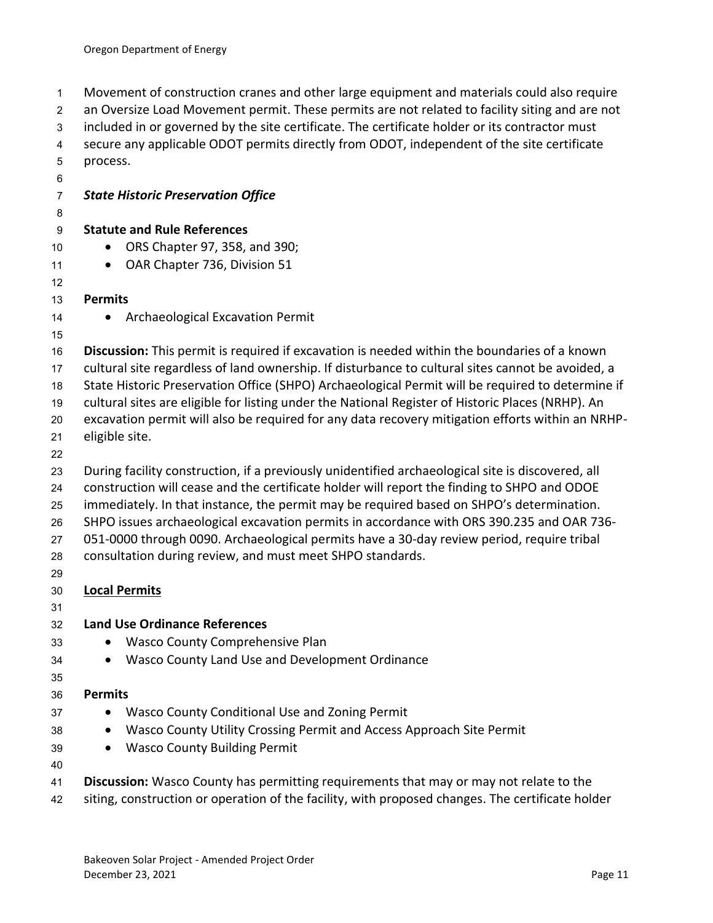Movement of construction cranes and other large equipment and materials could also require an Oversize Load Movement permit. These permits are not related to facility siting and are not included in or governed by the site certificate. The certificate holder or its contractor must secure any applicable ODOT permits directly from ODOT, independent of the site certificate process. *State Historic Preservation Office* **Statute and Rule References** • ORS Chapter 97, 358, and 390; 11 • OAR Chapter 736, Division 51 **Permits**  14 • Archaeological Excavation Permit **Discussion:** This permit is required if excavation is needed within the boundaries of a known cultural site regardless of land ownership. If disturbance to cultural sites cannot be avoided, a State Historic Preservation Office (SHPO) Archaeological Permit will be required to determine if cultural sites are eligible for listing under the National Register of Historic Places (NRHP). An excavation permit will also be required for any data recovery mitigation efforts within an NRHP- eligible site. During facility construction, if a previously unidentified archaeological site is discovered, all construction will cease and the certificate holder will report the finding to SHPO and ODOE immediately. In that instance, the permit may be required based on SHPO's determination. SHPO issues archaeological excavation permits in accordance with ORS 390.235 and OAR 736- 051-0000 through 0090. Archaeological permits have a 30-day review period, require tribal consultation during review, and must meet SHPO standards. **Local Permits Land Use Ordinance References** • Wasco County Comprehensive Plan • Wasco County Land Use and Development Ordinance **Permits** 37 • Wasco County Conditional Use and Zoning Permit • Wasco County Utility Crossing Permit and Access Approach Site Permit • Wasco County Building Permit **Discussion:** Wasco County has permitting requirements that may or may not relate to the 42 siting, construction or operation of the facility, with proposed changes. The certificate holder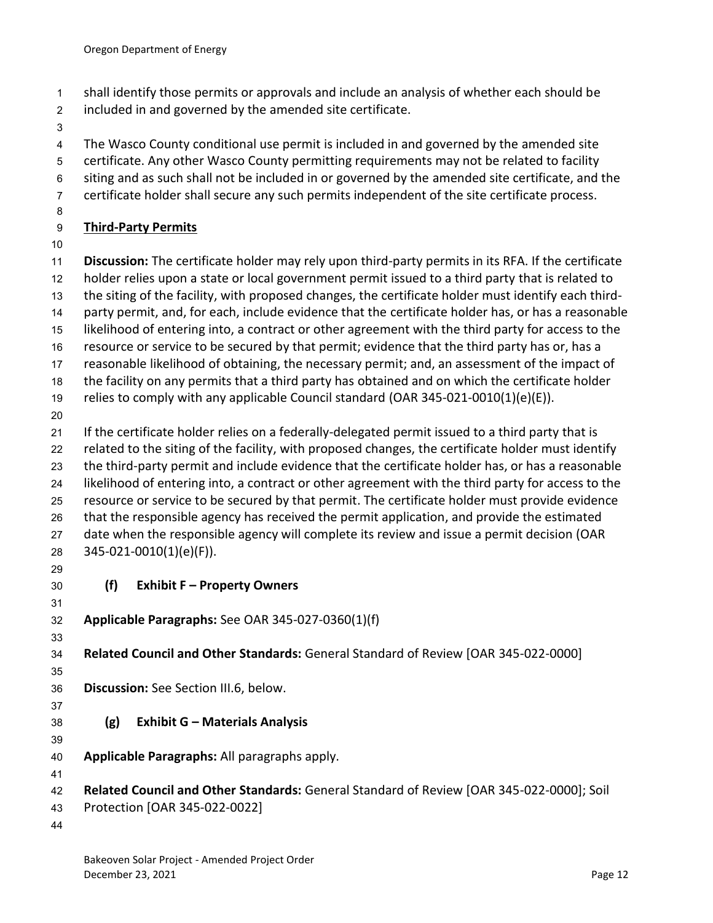- shall identify those permits or approvals and include an analysis of whether each should be
- included in and governed by the amended site certificate.
- 
- The Wasco County conditional use permit is included in and governed by the amended site
- certificate. Any other Wasco County permitting requirements may not be related to facility
- siting and as such shall not be included in or governed by the amended site certificate, and the
- certificate holder shall secure any such permits independent of the site certificate process.
- 

## **Third-Party Permits**

 **Discussion:** The certificate holder may rely upon third-party permits in its RFA. If the certificate holder relies upon a state or local government permit issued to a third party that is related to

- the siting of the facility, with proposed changes, the certificate holder must identify each third-
- party permit, and, for each, include evidence that the certificate holder has, or has a reasonable
- likelihood of entering into, a contract or other agreement with the third party for access to the
- resource or service to be secured by that permit; evidence that the third party has or, has a
- reasonable likelihood of obtaining, the necessary permit; and, an assessment of the impact of
- the facility on any permits that a third party has obtained and on which the certificate holder
- relies to comply with any applicable Council standard (OAR 345-021-0010(1)(e)(E)).
- 

 If the certificate holder relies on a federally-delegated permit issued to a third party that is related to the siting of the facility, with proposed changes, the certificate holder must identify the third-party permit and include evidence that the certificate holder has, or has a reasonable likelihood of entering into, a contract or other agreement with the third party for access to the resource or service to be secured by that permit. The certificate holder must provide evidence that the responsible agency has received the permit application, and provide the estimated 27 date when the responsible agency will complete its review and issue a permit decision (OAR 345-021-0010(1)(e)(F)).

- 
- <span id="page-14-0"></span>

## **(f) Exhibit F – Property Owners**

- 
- **Applicable Paragraphs:** See OAR 345-027-0360(1)(f)
- 

**Related Council and Other Standards:** General Standard of Review [OAR 345-022-0000]

- **Discussion:** See Section III.6, below.
- <span id="page-14-1"></span>**(g) Exhibit G – Materials Analysis**
- **Applicable Paragraphs:** All paragraphs apply.
- **Related Council and Other Standards:** General Standard of Review [OAR 345-022-0000]; Soil
- Protection [OAR 345-022-0022]
-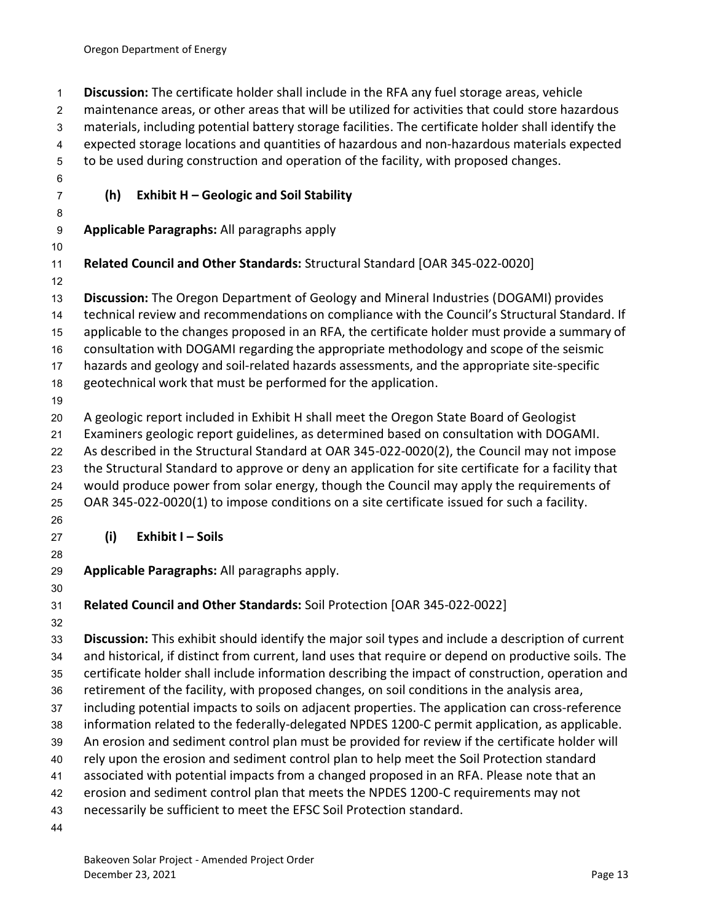<span id="page-15-1"></span><span id="page-15-0"></span> **Discussion:** The certificate holder shall include in the RFA any fuel storage areas, vehicle maintenance areas, or other areas that will be utilized for activities that could store hazardous materials, including potential battery storage facilities. The certificate holder shall identify the expected storage locations and quantities of hazardous and non-hazardous materials expected to be used during construction and operation of the facility, with proposed changes. **(h) Exhibit H – Geologic and Soil Stability Applicable Paragraphs:** All paragraphs apply **Related Council and Other Standards:** Structural Standard [OAR 345-022-0020] **Discussion:** The Oregon Department of Geology and Mineral Industries (DOGAMI) provides technical review and recommendations on compliance with the Council's Structural Standard. If applicable to the changes proposed in an RFA, the certificate holder must provide a summary of consultation with DOGAMI regarding the appropriate methodology and scope of the seismic hazards and geology and soil-related hazards assessments, and the appropriate site-specific geotechnical work that must be performed for the application. A geologic report included in Exhibit H shall meet the Oregon State Board of Geologist Examiners geologic report guidelines, as determined based on consultation with DOGAMI. As described in the Structural Standard at OAR 345-022-0020(2), the Council may not impose the Structural Standard to approve or deny an application for site certificate for a facility that would produce power from solar energy, though the Council may apply the requirements of OAR 345-022-0020(1) to impose conditions on a site certificate issued for such a facility. **(i) Exhibit I – Soils Applicable Paragraphs:** All paragraphs apply. **Related Council and Other Standards:** Soil Protection [OAR 345-022-0022] **Discussion:** This exhibit should identify the major soil types and include a description of current and historical, if distinct from current, land uses that require or depend on productive soils. The certificate holder shall include information describing the impact of construction, operation and retirement of the facility, with proposed changes, on soil conditions in the analysis area, including potential impacts to soils on adjacent properties. The application can cross-reference information related to the federally-delegated NPDES 1200-C permit application, as applicable. An erosion and sediment control plan must be provided for review if the certificate holder will rely upon the erosion and sediment control plan to help meet the Soil Protection standard associated with potential impacts from a changed proposed in an RFA. Please note that an erosion and sediment control plan that meets the NPDES 1200-C requirements may not necessarily be sufficient to meet the EFSC Soil Protection standard.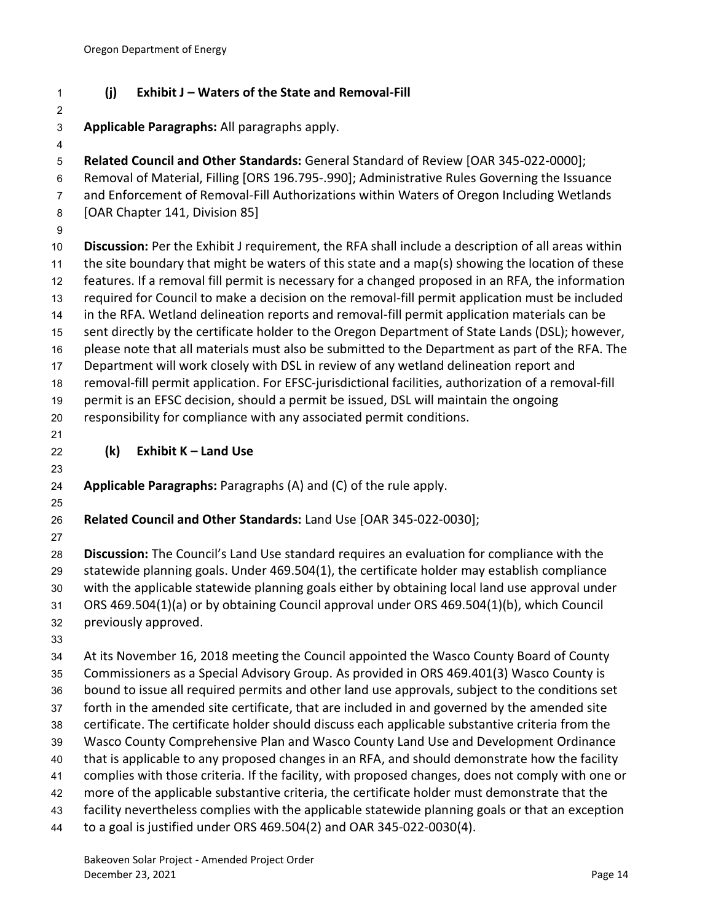## <span id="page-16-0"></span>**(j) Exhibit J – Waters of the State and Removal-Fill**

**Applicable Paragraphs:** All paragraphs apply.

 **Related Council and Other Standards:** General Standard of Review [OAR 345-022-0000]; Removal of Material, Filling [ORS 196.795-.990]; Administrative Rules Governing the Issuance and Enforcement of Removal-Fill Authorizations within Waters of Oregon Including Wetlands [OAR Chapter 141, Division 85] **Discussion:** Per the Exhibit J requirement, the RFA shall include a description of all areas within the site boundary that might be waters of this state and a map(s) showing the location of these

 features. If a removal fill permit is necessary for a changed proposed in an RFA, the information required for Council to make a decision on the removal-fill permit application must be included in the RFA. Wetland delineation reports and removal-fill permit application materials can be sent directly by the certificate holder to the Oregon Department of State Lands (DSL); however, please note that all materials must also be submitted to the Department as part of the RFA. The

Department will work closely with DSL in review of any wetland delineation report and

 removal-fill permit application. For EFSC-jurisdictional facilities, authorization of a removal-fill permit is an EFSC decision, should a permit be issued, DSL will maintain the ongoing

responsibility for compliance with any associated permit conditions.

<span id="page-16-1"></span>**(k) Exhibit K – Land Use** 

**Applicable Paragraphs:** Paragraphs (A) and (C) of the rule apply.

**Related Council and Other Standards:** Land Use [OAR 345-022-0030];

 **Discussion:** The Council's Land Use standard requires an evaluation for compliance with the statewide planning goals. Under 469.504(1), the certificate holder may establish compliance with the applicable statewide planning goals either by obtaining local land use approval under ORS 469.504(1)(a) or by obtaining Council approval under ORS 469.504(1)(b), which Council previously approved.

 At its November 16, 2018 meeting the Council appointed the Wasco County Board of County Commissioners as a Special Advisory Group. As provided in ORS 469.401(3) Wasco County is bound to issue all required permits and other land use approvals, subject to the conditions set forth in the amended site certificate, that are included in and governed by the amended site certificate. The certificate holder should discuss each applicable substantive criteria from the Wasco County Comprehensive Plan and Wasco County Land Use and Development Ordinance that is applicable to any proposed changes in an RFA, and should demonstrate how the facility complies with those criteria. If the facility, with proposed changes, does not comply with one or more of the applicable substantive criteria, the certificate holder must demonstrate that the facility nevertheless complies with the applicable statewide planning goals or that an exception to a goal is justified under ORS 469.504(2) and OAR 345-022-0030(4).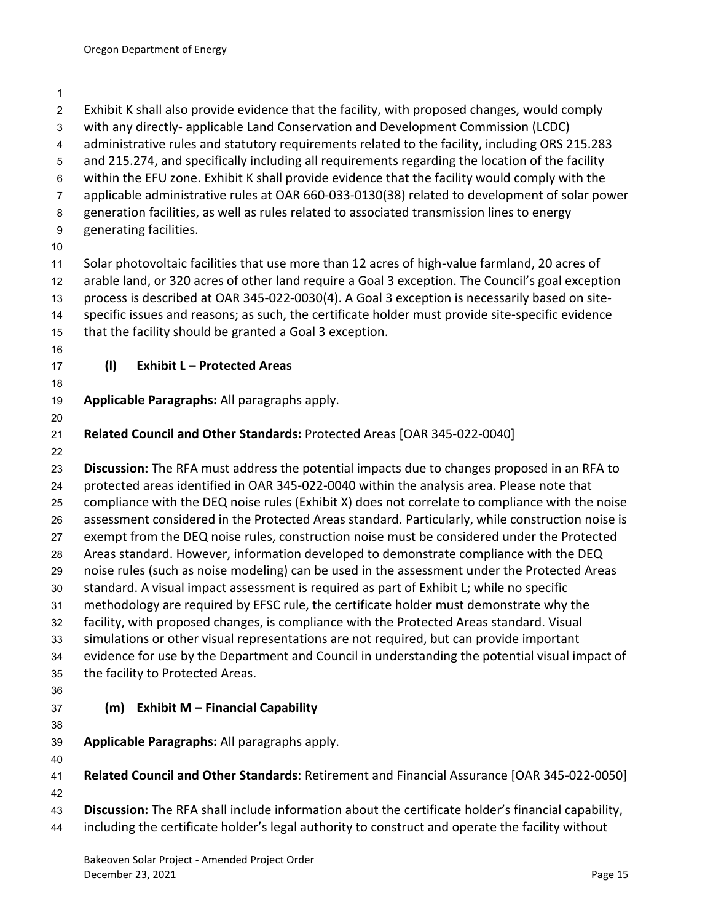<span id="page-17-1"></span><span id="page-17-0"></span>

| $\overline{c}$   | Exhibit K shall also provide evidence that the facility, with proposed changes, would comply       |
|------------------|----------------------------------------------------------------------------------------------------|
| 3                | with any directly-applicable Land Conservation and Development Commission (LCDC)                   |
| $\overline{4}$   | administrative rules and statutory requirements related to the facility, including ORS 215.283     |
| $\mathbf 5$      | and 215.274, and specifically including all requirements regarding the location of the facility    |
| 6                | within the EFU zone. Exhibit K shall provide evidence that the facility would comply with the      |
| $\overline{7}$   | applicable administrative rules at OAR 660-033-0130(38) related to development of solar power      |
| 8                | generation facilities, as well as rules related to associated transmission lines to energy         |
| $\boldsymbol{9}$ | generating facilities.                                                                             |
| 10               |                                                                                                    |
| 11               | Solar photovoltaic facilities that use more than 12 acres of high-value farmland, 20 acres of      |
| 12               | arable land, or 320 acres of other land require a Goal 3 exception. The Council's goal exception   |
| 13               | process is described at OAR 345-022-0030(4). A Goal 3 exception is necessarily based on site-      |
| 14               | specific issues and reasons; as such, the certificate holder must provide site-specific evidence   |
| 15               | that the facility should be granted a Goal 3 exception.                                            |
| 16               |                                                                                                    |
| 17               | (1)<br><b>Exhibit L - Protected Areas</b>                                                          |
| 18               |                                                                                                    |
| 19               | Applicable Paragraphs: All paragraphs apply.                                                       |
| 20               |                                                                                                    |
| 21<br>22         | Related Council and Other Standards: Protected Areas [OAR 345-022-0040]                            |
| 23               | Discussion: The RFA must address the potential impacts due to changes proposed in an RFA to        |
| 24               | protected areas identified in OAR 345-022-0040 within the analysis area. Please note that          |
| 25               | compliance with the DEQ noise rules (Exhibit X) does not correlate to compliance with the noise    |
| 26               | assessment considered in the Protected Areas standard. Particularly, while construction noise is   |
| 27               | exempt from the DEQ noise rules, construction noise must be considered under the Protected         |
| 28               | Areas standard. However, information developed to demonstrate compliance with the DEQ              |
| 29               | noise rules (such as noise modeling) can be used in the assessment under the Protected Areas       |
| 30               | standard. A visual impact assessment is required as part of Exhibit L; while no specific           |
| 31               | methodology are required by EFSC rule, the certificate holder must demonstrate why the             |
| 32               | facility, with proposed changes, is compliance with the Protected Areas standard. Visual           |
| 33               | simulations or other visual representations are not required, but can provide important            |
| 34               | evidence for use by the Department and Council in understanding the potential visual impact of     |
| 35               | the facility to Protected Areas.                                                                   |
| 36               |                                                                                                    |
| 37               | <b>Exhibit M - Financial Capability</b><br>(m)                                                     |
| 38               |                                                                                                    |
| 39               | Applicable Paragraphs: All paragraphs apply.                                                       |
| 40               |                                                                                                    |
| 41               | Related Council and Other Standards: Retirement and Financial Assurance [OAR 345-022-0050]         |
| 42               |                                                                                                    |
| 43               | Discussion: The RFA shall include information about the certificate holder's financial capability, |
| 44               | including the certificate holder's legal authority to construct and operate the facility without   |
|                  |                                                                                                    |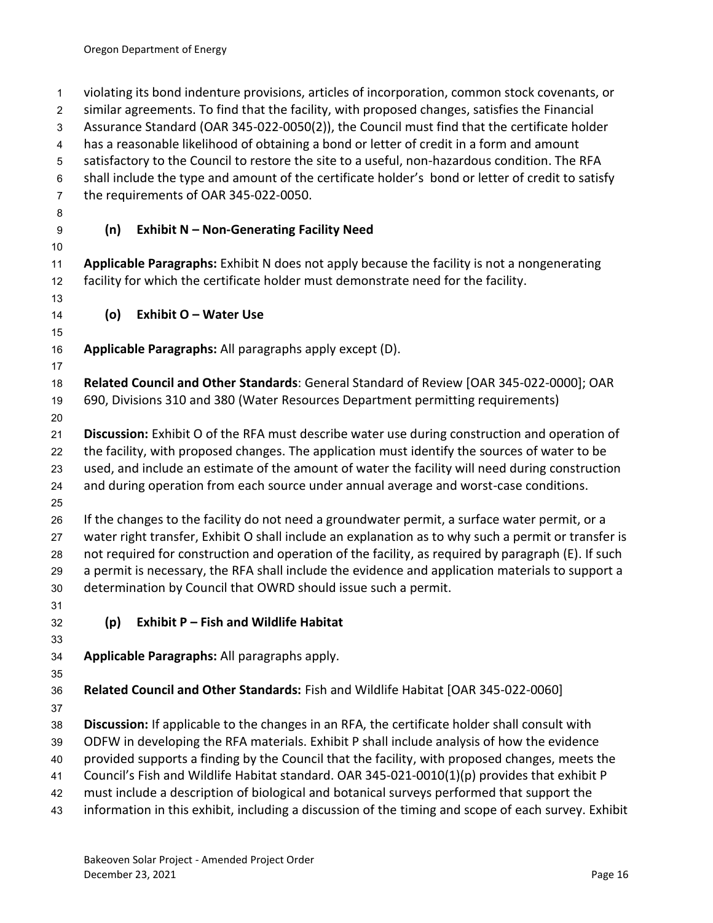<span id="page-18-2"></span><span id="page-18-1"></span><span id="page-18-0"></span> violating its bond indenture provisions, articles of incorporation, common stock covenants, or similar agreements. To find that the facility, with proposed changes, satisfies the Financial Assurance Standard (OAR 345-022-0050(2)), the Council must find that the certificate holder has a reasonable likelihood of obtaining a bond or letter of credit in a form and amount satisfactory to the Council to restore the site to a useful, non-hazardous condition. The RFA shall include the type and amount of the certificate holder's bond or letter of credit to satisfy the requirements of OAR 345-022-0050. **(n) Exhibit N – Non-Generating Facility Need Applicable Paragraphs:** Exhibit N does not apply because the facility is not a nongenerating facility for which the certificate holder must demonstrate need for the facility. **(o) Exhibit O – Water Use Applicable Paragraphs:** All paragraphs apply except (D). **Related Council and Other Standards**: General Standard of Review [OAR 345-022-0000]; OAR 690, Divisions 310 and 380 (Water Resources Department permitting requirements) **Discussion:** Exhibit O of the RFA must describe water use during construction and operation of the facility, with proposed changes. The application must identify the sources of water to be used, and include an estimate of the amount of water the facility will need during construction and during operation from each source under annual average and worst-case conditions. If the changes to the facility do not need a groundwater permit, a surface water permit, or a water right transfer, Exhibit O shall include an explanation as to why such a permit or transfer is not required for construction and operation of the facility, as required by paragraph (E). If such a permit is necessary, the RFA shall include the evidence and application materials to support a determination by Council that OWRD should issue such a permit. **(p) Exhibit P – Fish and Wildlife Habitat Applicable Paragraphs:** All paragraphs apply. **Related Council and Other Standards:** Fish and Wildlife Habitat [OAR 345-022-0060] **Discussion:** If applicable to the changes in an RFA, the certificate holder shall consult with ODFW in developing the RFA materials. Exhibit P shall include analysis of how the evidence provided supports a finding by the Council that the facility, with proposed changes, meets the Council's Fish and Wildlife Habitat standard. OAR 345-021-0010(1)(p) provides that exhibit P must include a description of biological and botanical surveys performed that support the information in this exhibit, including a discussion of the timing and scope of each survey. Exhibit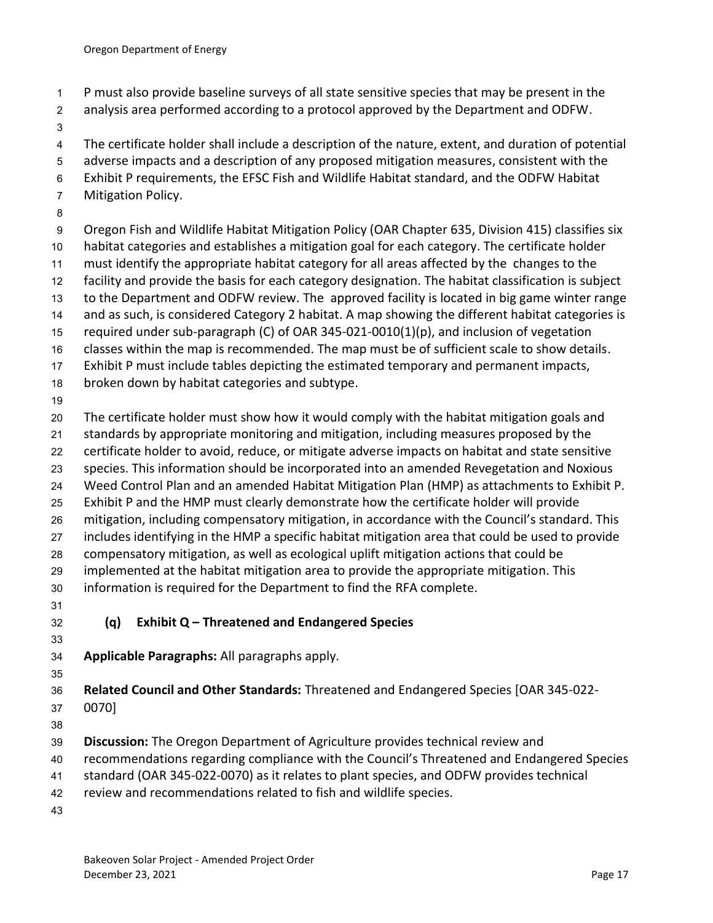- P must also provide baseline surveys of all state sensitive species that may be present in the
- analysis area performed according to a protocol approved by the Department and ODFW.
- 

The certificate holder shall include a description of the nature, extent, and duration of potential

- adverse impacts and a description of any proposed mitigation measures, consistent with the
- Exhibit P requirements, the EFSC Fish and Wildlife Habitat standard, and the ODFW Habitat
- Mitigation Policy.
- 

Oregon Fish and Wildlife Habitat Mitigation Policy (OAR Chapter 635, Division 415) classifies six

- habitat categories and establishes a mitigation goal for each category. The certificate holder
- must identify the appropriate habitat category for all areas affected by the changes to the
- facility and provide the basis for each category designation. The habitat classification is subject
- to the Department and ODFW review. The approved facility is located in big game winter range
- 14 and as such, is considered Category 2 habitat. A map showing the different habitat categories is
- required under sub-paragraph (C) of OAR 345-021-0010(1)(p), and inclusion of vegetation classes within the map is recommended. The map must be of sufficient scale to show details.
- Exhibit P must include tables depicting the estimated temporary and permanent impacts,
- broken down by habitat categories and subtype.
- 

The certificate holder must show how it would comply with the habitat mitigation goals and

- standards by appropriate monitoring and mitigation, including measures proposed by the
- certificate holder to avoid, reduce, or mitigate adverse impacts on habitat and state sensitive
- species. This information should be incorporated into an amended Revegetation and Noxious
- Weed Control Plan and an amended Habitat Mitigation Plan (HMP) as attachments to Exhibit P.
- Exhibit P and the HMP must clearly demonstrate how the certificate holder will provide
- mitigation, including compensatory mitigation, in accordance with the Council's standard. This
- includes identifying in the HMP a specific habitat mitigation area that could be used to provide
- compensatory mitigation, as well as ecological uplift mitigation actions that could be
- implemented at the habitat mitigation area to provide the appropriate mitigation. This
- information is required for the Department to find the RFA complete.
- 
- <span id="page-19-0"></span>**(q) Exhibit Q – Threatened and Endangered Species**
- 
- **Applicable Paragraphs:** All paragraphs apply.
- 

**Related Council and Other Standards:** Threatened and Endangered Species [OAR 345-022-

0070]

- **Discussion:** The Oregon Department of Agriculture provides technical review and
- recommendations regarding compliance with the Council's Threatened and Endangered Species
- standard (OAR 345-022-0070) as it relates to plant species, and ODFW provides technical
- review and recommendations related to fish and wildlife species.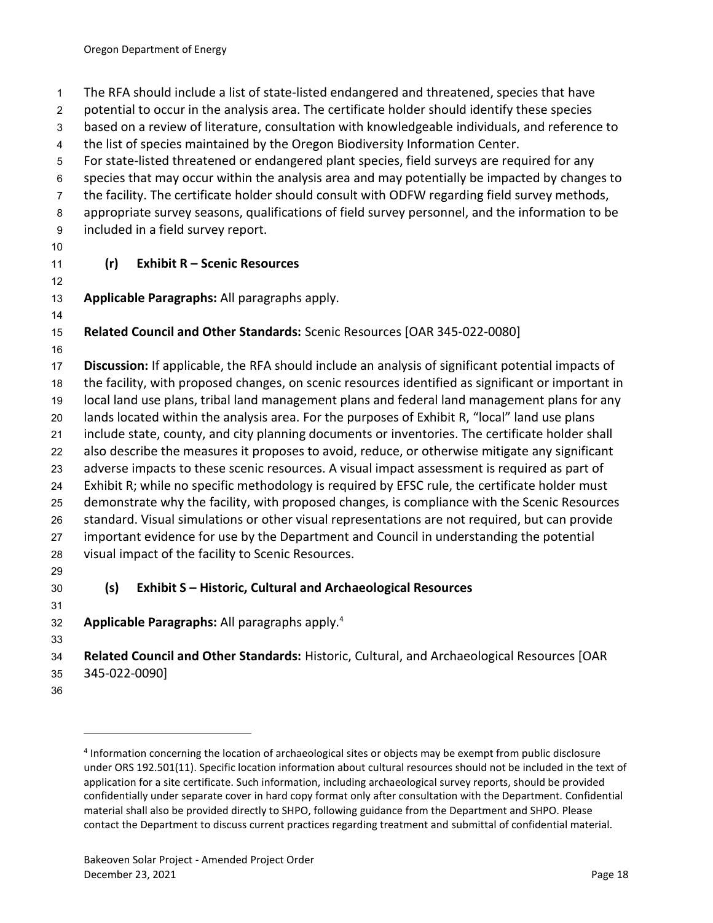The RFA should include a list of state-listed endangered and threatened, species that have

potential to occur in the analysis area. The certificate holder should identify these species

based on a review of literature, consultation with knowledgeable individuals, and reference to

the list of species maintained by the Oregon Biodiversity Information Center.

For state-listed threatened or endangered plant species, field surveys are required for any

species that may occur within the analysis area and may potentially be impacted by changes to

the facility. The certificate holder should consult with ODFW regarding field survey methods,

appropriate survey seasons, qualifications of field survey personnel, and the information to be

- included in a field survey report.
- 

### <span id="page-20-0"></span>**(r) Exhibit R – Scenic Resources**

**Applicable Paragraphs:** All paragraphs apply.

# **Related Council and Other Standards:** Scenic Resources [OAR 345-022-0080]

 **Discussion:** If applicable, the RFA should include an analysis of significant potential impacts of the facility, with proposed changes, on scenic resources identified as significant or important in local land use plans, tribal land management plans and federal land management plans for any lands located within the analysis area. For the purposes of Exhibit R, "local" land use plans include state, county, and city planning documents or inventories. The certificate holder shall also describe the measures it proposes to avoid, reduce, or otherwise mitigate any significant adverse impacts to these scenic resources. A visual impact assessment is required as part of Exhibit R; while no specific methodology is required by EFSC rule, the certificate holder must demonstrate why the facility, with proposed changes, is compliance with the Scenic Resources standard. Visual simulations or other visual representations are not required, but can provide important evidence for use by the Department and Council in understanding the potential visual impact of the facility to Scenic Resources.

# <span id="page-20-1"></span>**(s) Exhibit S – Historic, Cultural and Archaeological Resources**

**Applicable Paragraphs:** All paragraphs apply.<sup>4</sup> 

- **Related Council and Other Standards:** Historic, Cultural, and Archaeological Resources [OAR 345-022-0090]
- 

<sup>&</sup>lt;sup>4</sup> Information concerning the location of archaeological sites or objects may be exempt from public disclosure under ORS 192.501(11). Specific location information about cultural resources should not be included in the text of application for a site certificate. Such information, including archaeological survey reports, should be provided confidentially under separate cover in hard copy format only after consultation with the Department. Confidential material shall also be provided directly to SHPO, following guidance from the Department and SHPO. Please contact the Department to discuss current practices regarding treatment and submittal of confidential material.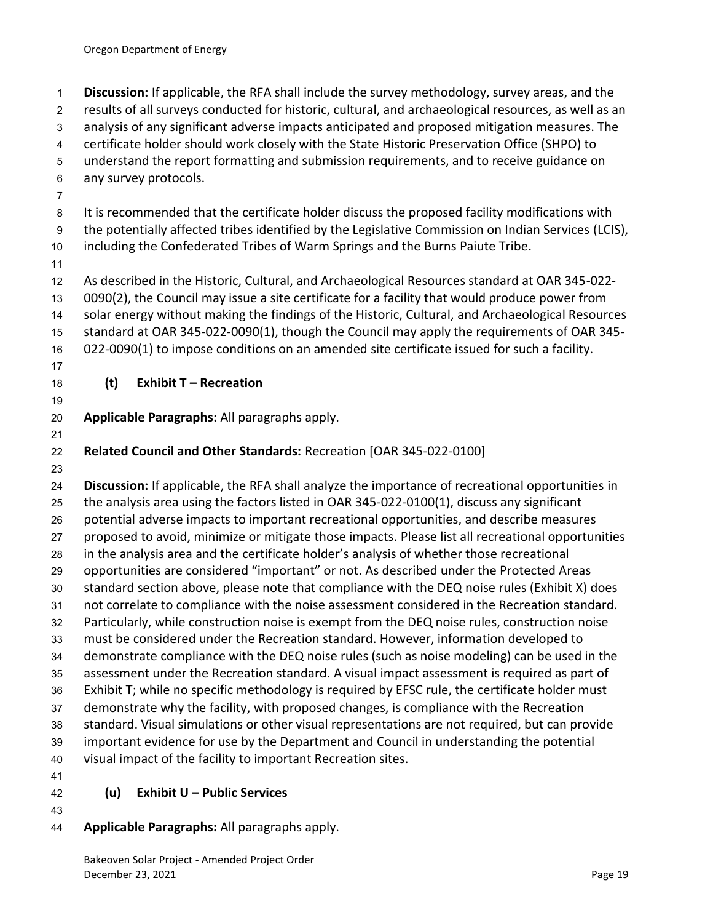<span id="page-21-0"></span> **Discussion:** If applicable, the RFA shall include the survey methodology, survey areas, and the results of all surveys conducted for historic, cultural, and archaeological resources, as well as an analysis of any significant adverse impacts anticipated and proposed mitigation measures. The certificate holder should work closely with the State Historic Preservation Office (SHPO) to understand the report formatting and submission requirements, and to receive guidance on any survey protocols. It is recommended that the certificate holder discuss the proposed facility modifications with the potentially affected tribes identified by the Legislative Commission on Indian Services (LCIS), including the Confederated Tribes of Warm Springs and the Burns Paiute Tribe. As described in the Historic, Cultural, and Archaeological Resources standard at OAR 345-022- 0090(2), the Council may issue a site certificate for a facility that would produce power from solar energy without making the findings of the Historic, Cultural, and Archaeological Resources standard at OAR 345-022-0090(1), though the Council may apply the requirements of OAR 345- 022-0090(1) to impose conditions on an amended site certificate issued for such a facility. **(t) Exhibit T – Recreation Applicable Paragraphs:** All paragraphs apply. **Related Council and Other Standards:** Recreation [OAR 345-022-0100] **Discussion:** If applicable, the RFA shall analyze the importance of recreational opportunities in the analysis area using the factors listed in OAR 345-022-0100(1), discuss any significant potential adverse impacts to important recreational opportunities, and describe measures proposed to avoid, minimize or mitigate those impacts. Please list all recreational opportunities in the analysis area and the certificate holder's analysis of whether those recreational opportunities are considered "important" or not. As described under the Protected Areas standard section above, please note that compliance with the DEQ noise rules (Exhibit X) does not correlate to compliance with the noise assessment considered in the Recreation standard. Particularly, while construction noise is exempt from the DEQ noise rules, construction noise must be considered under the Recreation standard. However, information developed to demonstrate compliance with the DEQ noise rules (such as noise modeling) can be used in the assessment under the Recreation standard. A visual impact assessment is required as part of Exhibit T; while no specific methodology is required by EFSC rule, the certificate holder must demonstrate why the facility, with proposed changes, is compliance with the Recreation standard. Visual simulations or other visual representations are not required, but can provide important evidence for use by the Department and Council in understanding the potential visual impact of the facility to important Recreation sites. **(u) Exhibit U – Public Services**

- <span id="page-21-1"></span>
- **Applicable Paragraphs:** All paragraphs apply.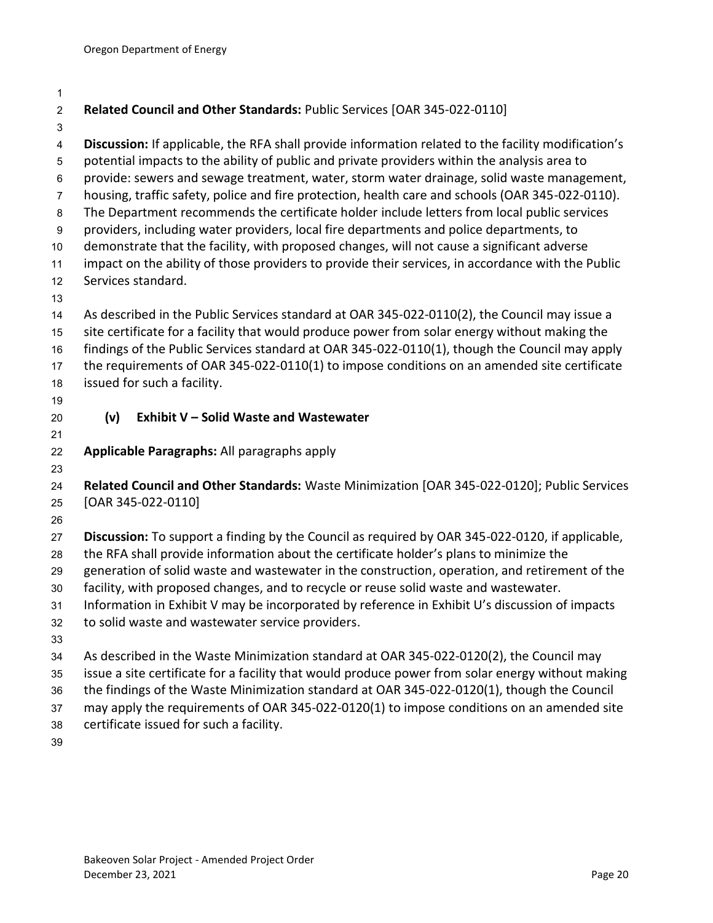<span id="page-22-0"></span>

| $\overline{2}$          | Related Council and Other Standards: Public Services [OAR 345-022-0110]                             |
|-------------------------|-----------------------------------------------------------------------------------------------------|
| 3                       |                                                                                                     |
| $\overline{\mathbf{4}}$ | Discussion: If applicable, the RFA shall provide information related to the facility modification's |
| 5                       | potential impacts to the ability of public and private providers within the analysis area to        |
| 6                       | provide: sewers and sewage treatment, water, storm water drainage, solid waste management,          |
| $\overline{7}$          | housing, traffic safety, police and fire protection, health care and schools (OAR 345-022-0110).    |
| 8                       | The Department recommends the certificate holder include letters from local public services         |
| $\boldsymbol{9}$        | providers, including water providers, local fire departments and police departments, to             |
| 10                      | demonstrate that the facility, with proposed changes, will not cause a significant adverse          |
| 11                      | impact on the ability of those providers to provide their services, in accordance with the Public   |
| 12                      | Services standard.                                                                                  |
| 13<br>14                | As described in the Public Services standard at OAR 345-022-0110(2), the Council may issue a        |
| 15                      | site certificate for a facility that would produce power from solar energy without making the       |
| 16                      | findings of the Public Services standard at OAR 345-022-0110(1), though the Council may apply       |
| 17                      | the requirements of OAR 345-022-0110(1) to impose conditions on an amended site certificate         |
| 18                      | issued for such a facility.                                                                         |
| 19                      |                                                                                                     |
| 20                      | <b>Exhibit V - Solid Waste and Wastewater</b><br>(v)                                                |
| 21                      |                                                                                                     |
| 22                      | Applicable Paragraphs: All paragraphs apply                                                         |
| 23                      |                                                                                                     |
| 24                      | Related Council and Other Standards: Waste Minimization [OAR 345-022-0120]; Public Services         |
| 25                      | [OAR 345-022-0110]                                                                                  |
| 26                      |                                                                                                     |
| 27                      | Discussion: To support a finding by the Council as required by OAR 345-022-0120, if applicable,     |
| 28                      | the RFA shall provide information about the certificate holder's plans to minimize the              |
| 29                      | generation of solid waste and wastewater in the construction, operation, and retirement of the      |
| 30                      | facility, with proposed changes, and to recycle or reuse solid waste and wastewater.                |
| 31                      | Information in Exhibit V may be incorporated by reference in Exhibit U's discussion of impacts      |
| 32                      | to solid waste and wastewater service providers.                                                    |
| 33                      |                                                                                                     |
| 34                      | As described in the Waste Minimization standard at OAR 345-022-0120(2), the Council may             |
| 35                      | issue a site certificate for a facility that would produce power from solar energy without making   |
| 36                      | the findings of the Waste Minimization standard at OAR 345-022-0120(1), though the Council          |
| 37                      | may apply the requirements of OAR 345-022-0120(1) to impose conditions on an amended site           |
| 38                      | certificate issued for such a facility.                                                             |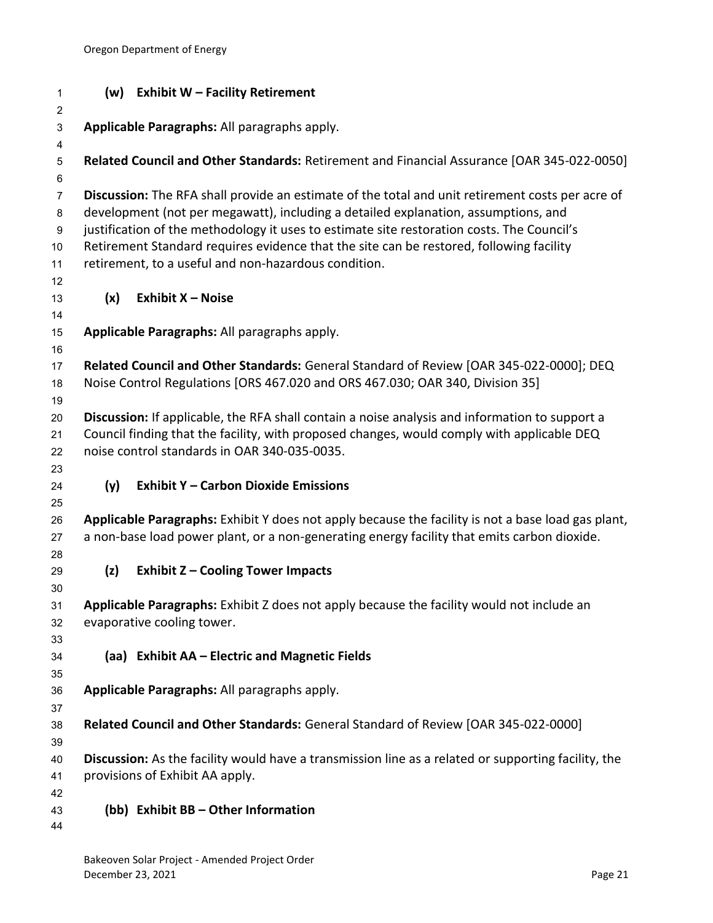<span id="page-23-5"></span><span id="page-23-4"></span><span id="page-23-3"></span><span id="page-23-2"></span><span id="page-23-1"></span><span id="page-23-0"></span>

| 1                         |     | (w) Exhibit W - Facility Retirement                                                                 |
|---------------------------|-----|-----------------------------------------------------------------------------------------------------|
| $\overline{c}$            |     |                                                                                                     |
| $\ensuremath{\mathsf{3}}$ |     | Applicable Paragraphs: All paragraphs apply.                                                        |
| 4<br>5                    |     | Related Council and Other Standards: Retirement and Financial Assurance [OAR 345-022-0050]          |
| 6                         |     |                                                                                                     |
| $\overline{7}$            |     | Discussion: The RFA shall provide an estimate of the total and unit retirement costs per acre of    |
| 8                         |     | development (not per megawatt), including a detailed explanation, assumptions, and                  |
| $\boldsymbol{9}$          |     | justification of the methodology it uses to estimate site restoration costs. The Council's          |
| 10                        |     | Retirement Standard requires evidence that the site can be restored, following facility             |
| 11                        |     | retirement, to a useful and non-hazardous condition.                                                |
| 12                        |     |                                                                                                     |
| 13                        | (x) | Exhibit X - Noise                                                                                   |
| 14                        |     |                                                                                                     |
| 15                        |     | Applicable Paragraphs: All paragraphs apply.                                                        |
| 16<br>17                  |     | Related Council and Other Standards: General Standard of Review [OAR 345-022-0000]; DEQ             |
| 18                        |     | Noise Control Regulations [ORS 467.020 and ORS 467.030; OAR 340, Division 35]                       |
| 19                        |     |                                                                                                     |
| 20                        |     | Discussion: If applicable, the RFA shall contain a noise analysis and information to support a      |
| 21                        |     | Council finding that the facility, with proposed changes, would comply with applicable DEQ          |
| 22                        |     | noise control standards in OAR 340-035-0035.                                                        |
| 23                        |     |                                                                                                     |
| 24                        | (y) | <b>Exhibit Y - Carbon Dioxide Emissions</b>                                                         |
| 25                        |     |                                                                                                     |
| 26                        |     | Applicable Paragraphs: Exhibit Y does not apply because the facility is not a base load gas plant,  |
| 27                        |     | a non-base load power plant, or a non-generating energy facility that emits carbon dioxide.         |
| 28                        |     | <b>Exhibit Z - Cooling Tower Impacts</b>                                                            |
| 29<br>30                  | (z) |                                                                                                     |
| 31                        |     | Applicable Paragraphs: Exhibit Z does not apply because the facility would not include an           |
| 32                        |     | evaporative cooling tower.                                                                          |
| 33                        |     |                                                                                                     |
| 34                        |     | (aa) Exhibit AA - Electric and Magnetic Fields                                                      |
| 35                        |     |                                                                                                     |
| 36                        |     | Applicable Paragraphs: All paragraphs apply.                                                        |
| 37                        |     |                                                                                                     |
| 38                        |     | Related Council and Other Standards: General Standard of Review [OAR 345-022-0000]                  |
| 39                        |     |                                                                                                     |
| 40                        |     | Discussion: As the facility would have a transmission line as a related or supporting facility, the |
| 41                        |     | provisions of Exhibit AA apply.                                                                     |
| 42<br>43                  |     | (bb) Exhibit BB - Other Information                                                                 |
| 44                        |     |                                                                                                     |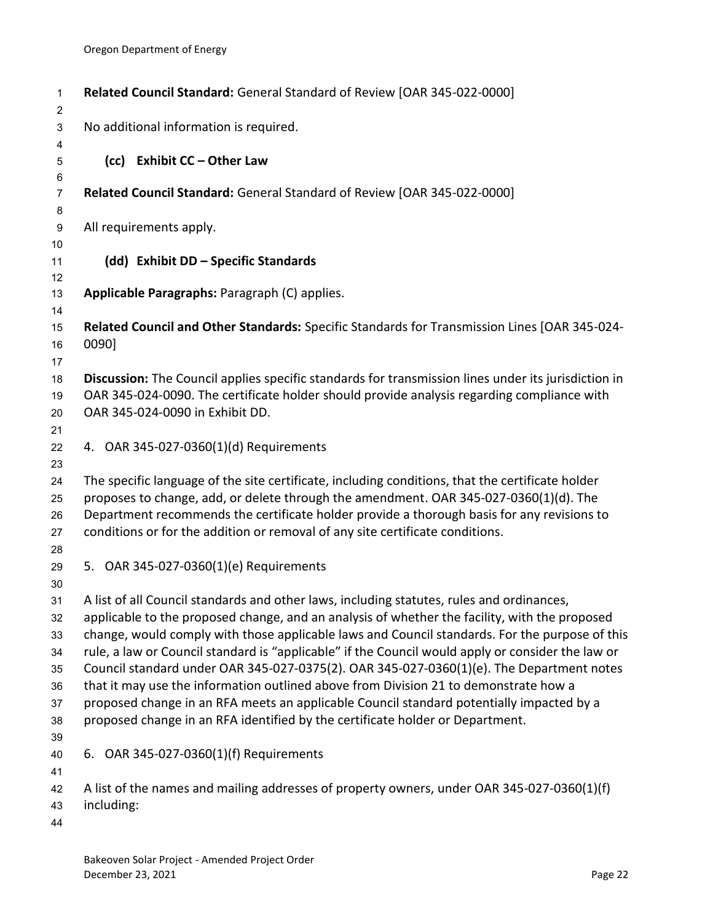<span id="page-24-4"></span><span id="page-24-3"></span><span id="page-24-2"></span><span id="page-24-1"></span><span id="page-24-0"></span>

| 1<br>$\overline{c}$                                      | Related Council Standard: General Standard of Review [OAR 345-022-0000]                                                                                                                                                                                                                                                                                                                                                                                                                                                                                                                                                                                                                                                                                            |
|----------------------------------------------------------|--------------------------------------------------------------------------------------------------------------------------------------------------------------------------------------------------------------------------------------------------------------------------------------------------------------------------------------------------------------------------------------------------------------------------------------------------------------------------------------------------------------------------------------------------------------------------------------------------------------------------------------------------------------------------------------------------------------------------------------------------------------------|
| $\ensuremath{\mathsf{3}}$                                | No additional information is required.                                                                                                                                                                                                                                                                                                                                                                                                                                                                                                                                                                                                                                                                                                                             |
| 4<br>5                                                   | (cc) Exhibit CC - Other Law                                                                                                                                                                                                                                                                                                                                                                                                                                                                                                                                                                                                                                                                                                                                        |
| 6<br>$\overline{7}$<br>8                                 | Related Council Standard: General Standard of Review [OAR 345-022-0000]                                                                                                                                                                                                                                                                                                                                                                                                                                                                                                                                                                                                                                                                                            |
| $\boldsymbol{9}$<br>10                                   | All requirements apply.                                                                                                                                                                                                                                                                                                                                                                                                                                                                                                                                                                                                                                                                                                                                            |
| 11<br>12                                                 | (dd) Exhibit DD - Specific Standards                                                                                                                                                                                                                                                                                                                                                                                                                                                                                                                                                                                                                                                                                                                               |
| 13<br>14                                                 | Applicable Paragraphs: Paragraph (C) applies.                                                                                                                                                                                                                                                                                                                                                                                                                                                                                                                                                                                                                                                                                                                      |
| 15<br>16<br>17                                           | Related Council and Other Standards: Specific Standards for Transmission Lines [OAR 345-024-<br>0090]                                                                                                                                                                                                                                                                                                                                                                                                                                                                                                                                                                                                                                                              |
| 18<br>19<br>20                                           | Discussion: The Council applies specific standards for transmission lines under its jurisdiction in<br>OAR 345-024-0090. The certificate holder should provide analysis regarding compliance with<br>OAR 345-024-0090 in Exhibit DD.                                                                                                                                                                                                                                                                                                                                                                                                                                                                                                                               |
| 21<br>22<br>23                                           | 4. OAR 345-027-0360(1)(d) Requirements                                                                                                                                                                                                                                                                                                                                                                                                                                                                                                                                                                                                                                                                                                                             |
| 24<br>25<br>26<br>27                                     | The specific language of the site certificate, including conditions, that the certificate holder<br>proposes to change, add, or delete through the amendment. OAR 345-027-0360(1)(d). The<br>Department recommends the certificate holder provide a thorough basis for any revisions to<br>conditions or for the addition or removal of any site certificate conditions.                                                                                                                                                                                                                                                                                                                                                                                           |
| 28<br>29                                                 | 5. OAR 345-027-0360(1)(e) Requirements                                                                                                                                                                                                                                                                                                                                                                                                                                                                                                                                                                                                                                                                                                                             |
| 30<br>31<br>32<br>33<br>34<br>35<br>36<br>37<br>38<br>39 | A list of all Council standards and other laws, including statutes, rules and ordinances,<br>applicable to the proposed change, and an analysis of whether the facility, with the proposed<br>change, would comply with those applicable laws and Council standards. For the purpose of this<br>rule, a law or Council standard is "applicable" if the Council would apply or consider the law or<br>Council standard under OAR 345-027-0375(2). OAR 345-027-0360(1)(e). The Department notes<br>that it may use the information outlined above from Division 21 to demonstrate how a<br>proposed change in an RFA meets an applicable Council standard potentially impacted by a<br>proposed change in an RFA identified by the certificate holder or Department. |
| 40<br>41<br>42                                           | 6. OAR 345-027-0360(1)(f) Requirements<br>A list of the names and mailing addresses of property owners, under OAR 345-027-0360(1)(f)                                                                                                                                                                                                                                                                                                                                                                                                                                                                                                                                                                                                                               |
| 43<br>44                                                 | including:                                                                                                                                                                                                                                                                                                                                                                                                                                                                                                                                                                                                                                                                                                                                                         |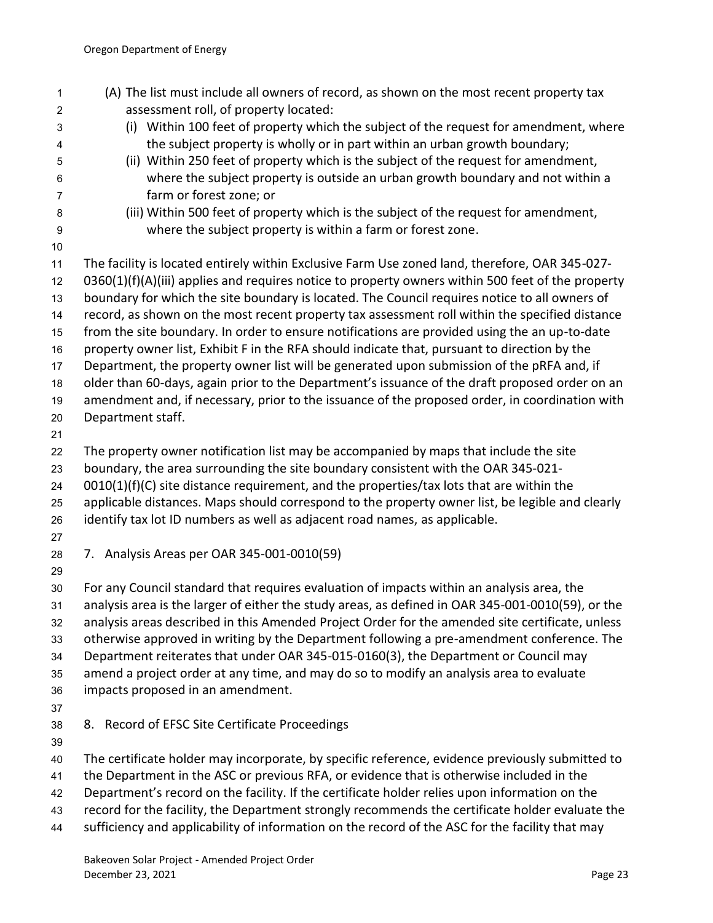<span id="page-25-1"></span><span id="page-25-0"></span>

| 1              | (A) The list must include all owners of record, as shown on the most recent property tax          |
|----------------|---------------------------------------------------------------------------------------------------|
| 2              | assessment roll, of property located:                                                             |
| 3              | (i) Within 100 feet of property which the subject of the request for amendment, where             |
| 4              | the subject property is wholly or in part within an urban growth boundary;                        |
| 5              | (ii) Within 250 feet of property which is the subject of the request for amendment,               |
| 6              | where the subject property is outside an urban growth boundary and not within a                   |
| $\overline{7}$ | farm or forest zone; or                                                                           |
| 8              | (iii) Within 500 feet of property which is the subject of the request for amendment,              |
| 9              | where the subject property is within a farm or forest zone.                                       |
| 10             |                                                                                                   |
| 11             | The facility is located entirely within Exclusive Farm Use zoned land, therefore, OAR 345-027-    |
| 12             | 0360(1)(f)(A)(iii) applies and requires notice to property owners within 500 feet of the property |
| 13             | boundary for which the site boundary is located. The Council requires notice to all owners of     |
| 14             | record, as shown on the most recent property tax assessment roll within the specified distance    |
| 15             | from the site boundary. In order to ensure notifications are provided using the an up-to-date     |
| 16             | property owner list, Exhibit F in the RFA should indicate that, pursuant to direction by the      |
| 17             | Department, the property owner list will be generated upon submission of the pRFA and, if         |
| 18             | older than 60-days, again prior to the Department's issuance of the draft proposed order on an    |
| 19             | amendment and, if necessary, prior to the issuance of the proposed order, in coordination with    |
| 20             | Department staff.                                                                                 |
| 21             |                                                                                                   |
| 22             | The property owner notification list may be accompanied by maps that include the site             |
| 23             | boundary, the area surrounding the site boundary consistent with the OAR 345-021-                 |
| 24             | $0010(1)(f)(C)$ site distance requirement, and the properties/tax lots that are within the        |
| 25             | applicable distances. Maps should correspond to the property owner list, be legible and clearly   |
| 26             | identify tax lot ID numbers as well as adjacent road names, as applicable.                        |
| 27             |                                                                                                   |
| 28             | 7. Analysis Areas per OAR 345-001-0010(59)                                                        |
| 29             |                                                                                                   |
| 30             | For any Council standard that requires evaluation of impacts within an analysis area, the         |
| 31             | analysis area is the larger of either the study areas, as defined in OAR 345-001-0010(59), or the |
| 32             | analysis areas described in this Amended Project Order for the amended site certificate, unless   |
| 33             | otherwise approved in writing by the Department following a pre-amendment conference. The         |
| 34             | Department reiterates that under OAR 345-015-0160(3), the Department or Council may               |
| 35             | amend a project order at any time, and may do so to modify an analysis area to evaluate           |
| 36             | impacts proposed in an amendment.                                                                 |
| 37             |                                                                                                   |
| 38             | 8. Record of EFSC Site Certificate Proceedings                                                    |
| 39             |                                                                                                   |
| 40             | The certificate holder may incorporate, by specific reference, evidence previously submitted to   |
| 41             | the Department in the ASC or previous RFA, or evidence that is otherwise included in the          |
| 42             | Department's record on the facility. If the certificate holder relies upon information on the     |
| 43             | record for the facility, the Department strongly recommends the certificate holder evaluate the   |
| 44             | sufficiency and applicability of information on the record of the ASC for the facility that may   |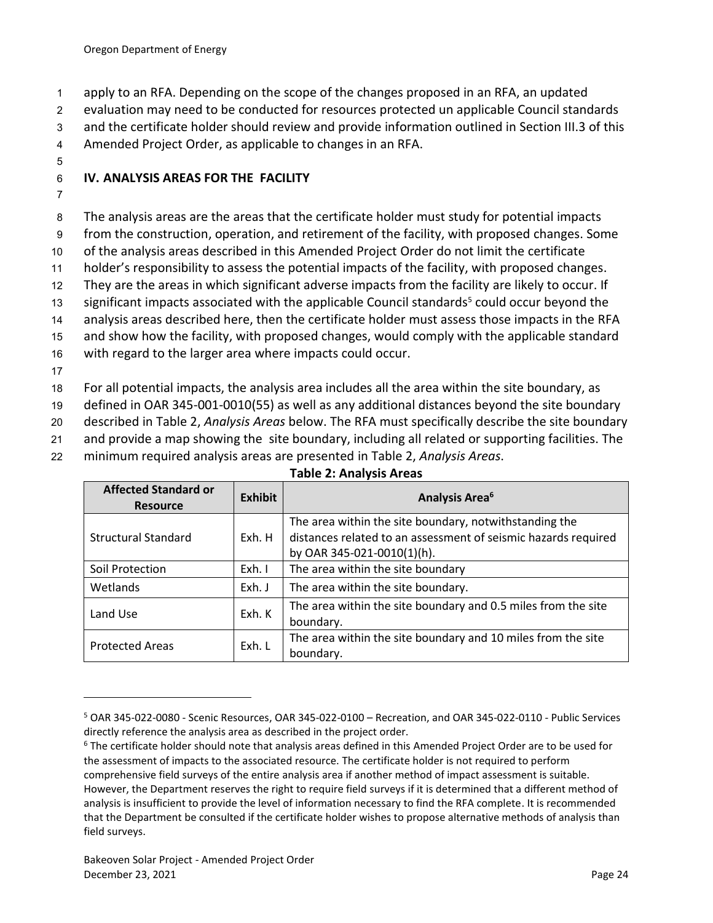1 apply to an RFA. Depending on the scope of the changes proposed in an RFA, an updated

2 evaluation may need to be conducted for resources protected un applicable Council standards

3 and the certificate holder should review and provide information outlined in Section III.3 of this

4 Amended Project Order, as applicable to changes in an RFA.

5

## <span id="page-26-0"></span>6 **IV. ANALYSIS AREAS FOR THE FACILITY**

7

8 The analysis areas are the areas that the certificate holder must study for potential impacts

9 from the construction, operation, and retirement of the facility, with proposed changes. Some

10 of the analysis areas described in this Amended Project Order do not limit the certificate

11 holder's responsibility to assess the potential impacts of the facility, with proposed changes.

12 They are the areas in which significant adverse impacts from the facility are likely to occur. If

13 significant impacts associated with the applicable Council standards<sup>5</sup> could occur beyond the

14 analysis areas described here, then the certificate holder must assess those impacts in the RFA

15 and show how the facility, with proposed changes, would comply with the applicable standard

16 with regard to the larger area where impacts could occur.

17

18 For all potential impacts, the analysis area includes all the area within the site boundary, as

19 defined in OAR 345-001-0010(55) as well as any additional distances beyond the site boundary

20 described in Table 2, *Analysis Areas* below. The RFA must specifically describe the site boundary

21 and provide a map showing the site boundary, including all related or supporting facilities. The

22 minimum required analysis areas are presented in Table 2, *Analysis Areas*.

### **Table 2: Analysis Areas**

<span id="page-26-1"></span>

| <b>Affected Standard or</b><br><b>Resource</b> | <b>Exhibit</b> | Analysis Area <sup>6</sup>                                     |
|------------------------------------------------|----------------|----------------------------------------------------------------|
| <b>Structural Standard</b>                     | Exh. H         | The area within the site boundary, notwithstanding the         |
|                                                |                | distances related to an assessment of seismic hazards required |
|                                                |                | by OAR 345-021-0010(1)(h).                                     |
| Soil Protection                                | Exh. I         | The area within the site boundary                              |
| Wetlands                                       | Exh. J         | The area within the site boundary.                             |
| Land Use                                       | Exh. K         | The area within the site boundary and 0.5 miles from the site  |
|                                                |                | boundary.                                                      |
| <b>Protected Areas</b>                         | Exh. L         | The area within the site boundary and 10 miles from the site   |
|                                                |                | boundary.                                                      |

<sup>5</sup> OAR 345-022-0080 - Scenic Resources, OAR 345-022-0100 – Recreation, and OAR 345-022-0110 - Public Services directly reference the analysis area as described in the project order.

 $6$  The certificate holder should note that analysis areas defined in this Amended Project Order are to be used for the assessment of impacts to the associated resource. The certificate holder is not required to perform comprehensive field surveys of the entire analysis area if another method of impact assessment is suitable. However, the Department reserves the right to require field surveys if it is determined that a different method of analysis is insufficient to provide the level of information necessary to find the RFA complete. It is recommended that the Department be consulted if the certificate holder wishes to propose alternative methods of analysis than field surveys.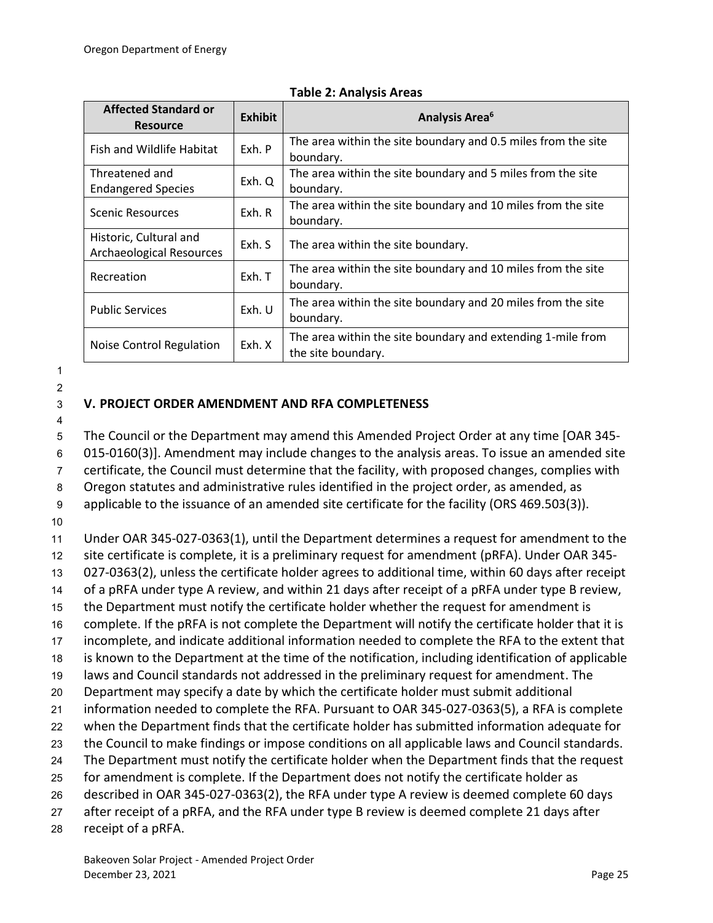| <b>Affected Standard or</b><br><b>Resource</b>            | <b>Exhibit</b> | <b>Analysis Area<sup>6</sup></b>                                                  |
|-----------------------------------------------------------|----------------|-----------------------------------------------------------------------------------|
| Fish and Wildlife Habitat                                 | Exh. P         | The area within the site boundary and 0.5 miles from the site<br>boundary.        |
| Threatened and<br><b>Endangered Species</b>               | Exh. Q         | The area within the site boundary and 5 miles from the site<br>boundary.          |
| Scenic Resources                                          | Exh. R         | The area within the site boundary and 10 miles from the site<br>boundary.         |
| Historic, Cultural and<br><b>Archaeological Resources</b> | Exh. S         | The area within the site boundary.                                                |
| Recreation                                                | Exh. T         | The area within the site boundary and 10 miles from the site<br>boundary.         |
| <b>Public Services</b>                                    | Exh. U         | The area within the site boundary and 20 miles from the site<br>boundary.         |
| Noise Control Regulation                                  | Exh. X         | The area within the site boundary and extending 1-mile from<br>the site boundary. |

#### **Table 2: Analysis Areas**

1

#### 2

## <span id="page-27-0"></span>3 **V. PROJECT ORDER AMENDMENT AND RFA COMPLETENESS**

4

 The Council or the Department may amend this Amended Project Order at any time [OAR 345- 015-0160(3)]. Amendment may include changes to the analysis areas. To issue an amended site certificate, the Council must determine that the facility, with proposed changes, complies with Oregon statutes and administrative rules identified in the project order, as amended, as applicable to the issuance of an amended site certificate for the facility (ORS 469.503(3)). 10 Under OAR 345-027-0363(1), until the Department determines a request for amendment to the site certificate is complete, it is a preliminary request for amendment (pRFA). Under OAR 345- 027-0363(2), unless the certificate holder agrees to additional time, within 60 days after receipt of a pRFA under type A review, and within 21 days after receipt of a pRFA under type B review, the Department must notify the certificate holder whether the request for amendment is complete. If the pRFA is not complete the Department will notify the certificate holder that it is incomplete, and indicate additional information needed to complete the RFA to the extent that is known to the Department at the time of the notification, including identification of applicable laws and Council standards not addressed in the preliminary request for amendment. The Department may specify a date by which the certificate holder must submit additional

- 21 information needed to complete the RFA. Pursuant to OAR 345-027-0363(5), a RFA is complete
- 22 when the Department finds that the certificate holder has submitted information adequate for
- 23 the Council to make findings or impose conditions on all applicable laws and Council standards.
- 24 The Department must notify the certificate holder when the Department finds that the request
- 25 for amendment is complete. If the Department does not notify the certificate holder as 26 described in OAR 345-027-0363(2), the RFA under type A review is deemed complete 60 days
- 27 after receipt of a pRFA, and the RFA under type B review is deemed complete 21 days after
- 28 receipt of a pRFA.